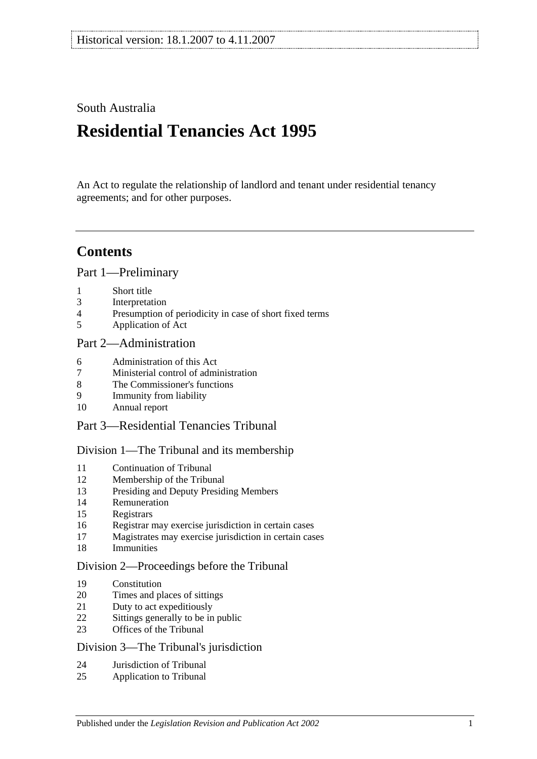## South Australia

# **Residential Tenancies Act 1995**

An Act to regulate the relationship of landlord and tenant under residential tenancy agreements; and for other purposes.

# **Contents**

[Part 1—Preliminary](#page-4-0)

- [Short title](#page-4-1)
- [Interpretation](#page-5-0)
- [Presumption of periodicity in case of short fixed terms](#page-7-0)
- [Application of Act](#page-7-1)

## [Part 2—Administration](#page-8-0)

- [Administration of this Act](#page-8-1)
- [Ministerial control of administration](#page-8-2)
- [The Commissioner's functions](#page-8-3)
- [Immunity from liability](#page-9-0)
- [Annual report](#page-9-1)

## [Part 3—Residential Tenancies Tribunal](#page-9-2)

#### [Division 1—The Tribunal and its membership](#page-9-3)

- [Continuation of Tribunal](#page-9-4)<br>12 Membership of the Tribun
- [Membership of the Tribunal](#page-9-5)
- [Presiding and Deputy Presiding Members](#page-10-0)
- [Remuneration](#page-10-1)
- [Registrars](#page-10-2)
- [Registrar may exercise jurisdiction in certain cases](#page-10-3)
- [Magistrates may exercise jurisdiction in certain cases](#page-10-4)
- [Immunities](#page-11-0)

#### [Division 2—Proceedings before the Tribunal](#page-11-1)

- [Constitution](#page-11-2)
- [Times and places of sittings](#page-11-3)
- [Duty to act expeditiously](#page-11-4)
- [Sittings generally to be in public](#page-11-5)
- [Offices of the Tribunal](#page-11-6)

#### Division [3—The Tribunal's jurisdiction](#page-11-7)

- [Jurisdiction of Tribunal](#page-11-8)
- [Application to Tribunal](#page-12-0)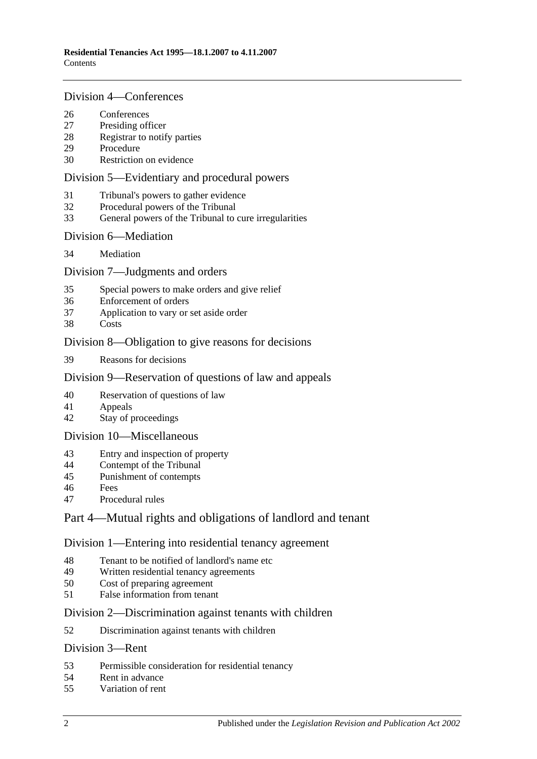#### [Division 4—Conferences](#page-12-1)

- [Conferences](#page-12-2)<br>27 Presiding off
- [Presiding officer](#page-13-0)
- [Registrar to notify parties](#page-13-1)
- [Procedure](#page-13-2)
- [Restriction on evidence](#page-13-3)

#### [Division 5—Evidentiary and procedural powers](#page-13-4)

- [Tribunal's powers to gather evidence](#page-13-5)
- [Procedural powers of the Tribunal](#page-14-0)
- [General powers of the Tribunal to cure irregularities](#page-15-0)

#### [Division 6—Mediation](#page-15-1)

[Mediation](#page-15-2)

### [Division 7—Judgments and orders](#page-15-3)

- [Special powers to make orders and give relief](#page-15-4)
- [Enforcement of orders](#page-16-0)
- [Application to vary or set aside order](#page-16-1)
- [Costs](#page-16-2)

### [Division 8—Obligation to give reasons for decisions](#page-16-3)

[Reasons for decisions](#page-16-4)

### [Division 9—Reservation of questions of law and appeals](#page-16-5)

- [Reservation of questions of law](#page-16-6)
- [Appeals](#page-17-0)
- [Stay of proceedings](#page-17-1)

#### [Division 10—Miscellaneous](#page-17-2)

- [Entry and inspection of property](#page-17-3)
- [Contempt of the Tribunal](#page-17-4)
- [Punishment of contempts](#page-18-0)
- [Fees](#page-18-1)
- [Procedural rules](#page-18-2)

## [Part 4—Mutual rights and obligations of landlord and tenant](#page-18-3)

#### [Division 1—Entering into residential tenancy agreement](#page-18-4)

- [Tenant to be notified of landlord's name etc](#page-18-5)
- [Written residential tenancy agreements](#page-19-0)<br>50 Cost of preparing agreement
- [Cost of preparing agreement](#page-19-1)
- [False information from tenant](#page-19-2)

#### [Division 2—Discrimination against tenants with children](#page-20-0)

[Discrimination against tenants with children](#page-20-1)

#### [Division 3—Rent](#page-20-2)

- [Permissible consideration for residential tenancy](#page-20-3)
- [Rent in advance](#page-21-0)
- [Variation of rent](#page-21-1)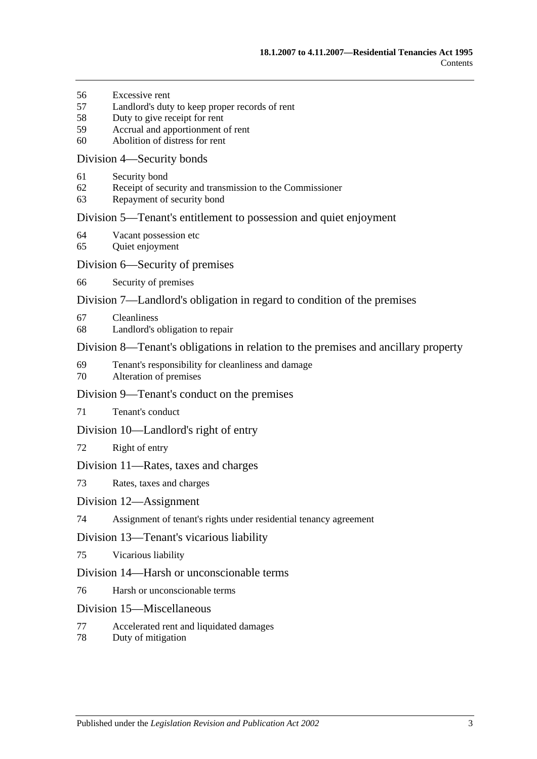- [Excessive rent](#page-22-0)
- [Landlord's duty to keep proper records of rent](#page-23-0)
- [Duty to give receipt for rent](#page-23-1)
- [Accrual and apportionment of rent](#page-23-2)
- [Abolition of distress for rent](#page-23-3)

#### [Division 4—Security bonds](#page-24-0)

- [Security bond](#page-24-1)
- [Receipt of security and transmission to the Commissioner](#page-24-2)
- [Repayment of security bond](#page-25-0)

#### [Division 5—Tenant's entitlement to possession and quiet enjoyment](#page-27-0)

- [Vacant possession etc](#page-27-1)
- [Quiet enjoyment](#page-27-2)

#### [Division 6—Security of premises](#page-27-3)

[Security of premises](#page-27-4)

#### [Division 7—Landlord's obligation in regard to condition of the premises](#page-28-0)

- [Cleanliness](#page-28-1)
- [Landlord's obligation to repair](#page-28-2)

#### [Division 8—Tenant's obligations in relation to the premises and ancillary property](#page-29-0)

- [Tenant's responsibility for cleanliness and damage](#page-29-1)
- [Alteration of premises](#page-29-2)

#### [Division 9—Tenant's conduct on the premises](#page-30-0)

[Tenant's conduct](#page-30-1)

#### [Division 10—Landlord's right of entry](#page-30-2)

[Right of entry](#page-30-3)

#### [Division 11—Rates, taxes and charges](#page-31-0)

[Rates, taxes and charges](#page-31-1)

#### [Division 12—Assignment](#page-31-2)

[Assignment of tenant's rights under residential tenancy agreement](#page-31-3)

#### [Division 13—Tenant's vicarious liability](#page-32-0)

[Vicarious liability](#page-32-1)

#### [Division 14—Harsh or unconscionable terms](#page-32-2)

[Harsh or unconscionable terms](#page-32-3)

#### [Division 15—Miscellaneous](#page-32-4)

- [Accelerated rent and liquidated damages](#page-32-5)
- [Duty of mitigation](#page-33-0)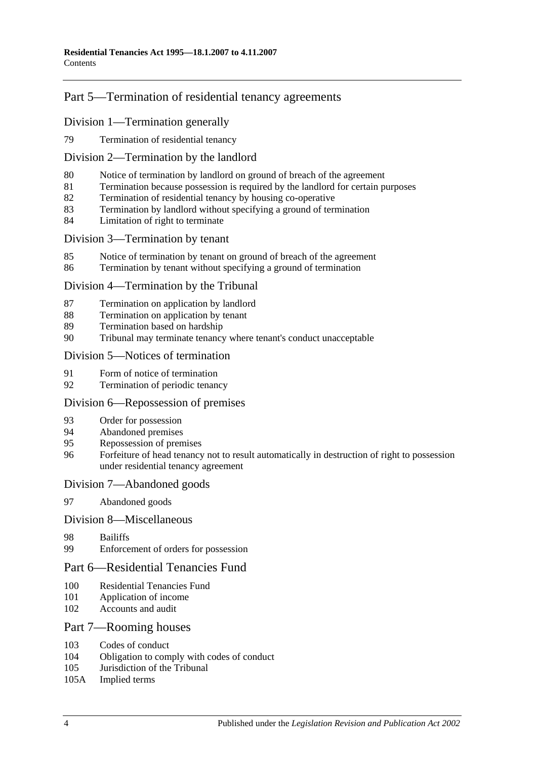## [Part 5—Termination of residential tenancy agreements](#page-33-1)

### [Division 1—Termination generally](#page-33-2)

[Termination of residential tenancy](#page-33-3)

#### [Division 2—Termination by the landlord](#page-33-4)

- [Notice of termination by landlord on ground of breach of the agreement](#page-33-5)
- [Termination because possession is required by the landlord for certain purposes](#page-35-0)
- [Termination of residential tenancy by housing co-operative](#page-35-1)
- [Termination by landlord without specifying a ground of termination](#page-35-2)
- [Limitation of right to terminate](#page-36-0)

#### [Division 3—Termination by tenant](#page-36-1)

- [Notice of termination by tenant on ground of breach of the agreement](#page-36-2)
- [Termination by tenant without specifying a ground of termination](#page-37-0)

#### [Division 4—Termination by the Tribunal](#page-37-1)

- [Termination on application by landlord](#page-37-2)
- [Termination on application by tenant](#page-37-3)
- [Termination based on hardship](#page-38-0)
- [Tribunal may terminate tenancy where tenant's conduct unacceptable](#page-38-1)

#### [Division 5—Notices of termination](#page-39-0)

- [Form of notice of termination](#page-39-1)
- [Termination of periodic tenancy](#page-39-2)

#### [Division 6—Repossession of premises](#page-39-3)

- [Order for possession](#page-39-4)
- [Abandoned premises](#page-40-0)
- [Repossession of premises](#page-40-1)
- [Forfeiture of head tenancy not to result automatically in destruction of right to possession](#page-41-0)  [under residential tenancy agreement](#page-41-0)

#### [Division 7—Abandoned goods](#page-41-1)

[Abandoned goods](#page-41-2)

#### [Division 8—Miscellaneous](#page-42-0)

- [Bailiffs](#page-42-1)
- [Enforcement of orders for possession](#page-42-2)

### [Part 6—Residential Tenancies Fund](#page-43-0)

- [Residential Tenancies Fund](#page-43-1)
- [Application of income](#page-43-2)
- [Accounts and audit](#page-44-0)

#### [Part 7—Rooming houses](#page-44-1)

- [Codes of conduct](#page-44-2)<br>104 Obligation to com
- [Obligation to comply with codes of conduct](#page-44-3)
- [Jurisdiction of the Tribunal](#page-44-4)
- 105A [Implied terms](#page-44-5)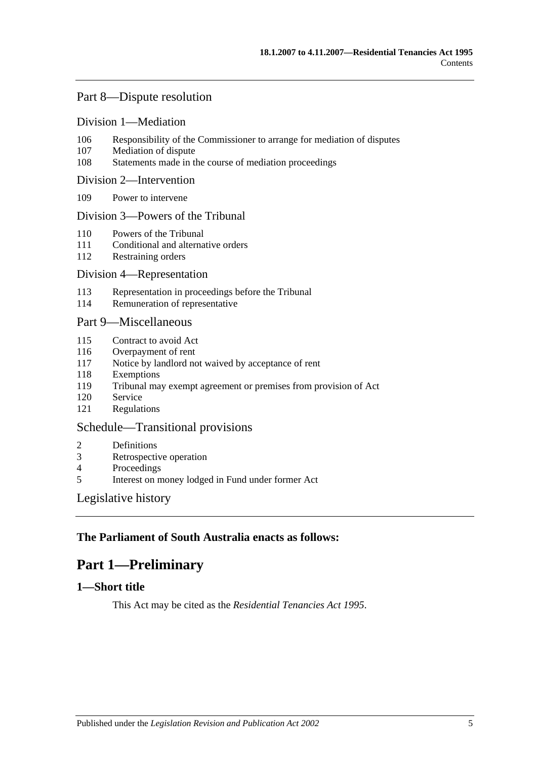## [Part 8—Dispute resolution](#page-44-6)

#### [Division 1—Mediation](#page-44-7)

- 106 [Responsibility of the Commissioner to arrange for mediation of disputes](#page-44-8)
- 107 [Mediation of dispute](#page-45-0)
- 108 [Statements made in the course of mediation proceedings](#page-45-1)

#### [Division 2—Intervention](#page-45-2)

109 [Power to intervene](#page-45-3)

#### [Division 3—Powers of the Tribunal](#page-45-4)

- 110 [Powers of the Tribunal](#page-45-5)
- 111 [Conditional and alternative orders](#page-46-0)
- 112 [Restraining orders](#page-46-1)

#### [Division 4—Representation](#page-46-2)

- 113 [Representation in proceedings before the Tribunal](#page-46-3)
- 114 [Remuneration of representative](#page-47-0)

### [Part 9—Miscellaneous](#page-47-1)

- 115 [Contract to avoid Act](#page-47-2)
- 116 [Overpayment of rent](#page-48-0)
- 117 [Notice by landlord not waived by acceptance of rent](#page-48-1)
- 118 [Exemptions](#page-48-2)
- 119 [Tribunal may exempt agreement or premises from provision of Act](#page-48-3)
- 120 [Service](#page-48-4)
- 121 [Regulations](#page-48-5)

### [Schedule—Transitional provisions](#page-49-0)

- 2 [Definitions](#page-49-1)
- 3 [Retrospective operation](#page-49-2)
- 4 [Proceedings](#page-49-3)<br>5 Interest on m
- 5 [Interest on money lodged in Fund under former Act](#page-49-4)

#### [Legislative history](#page-50-0)

### <span id="page-4-0"></span>**The Parliament of South Australia enacts as follows:**

# **Part 1—Preliminary**

## <span id="page-4-1"></span>**1—Short title**

This Act may be cited as the *Residential Tenancies Act 1995*.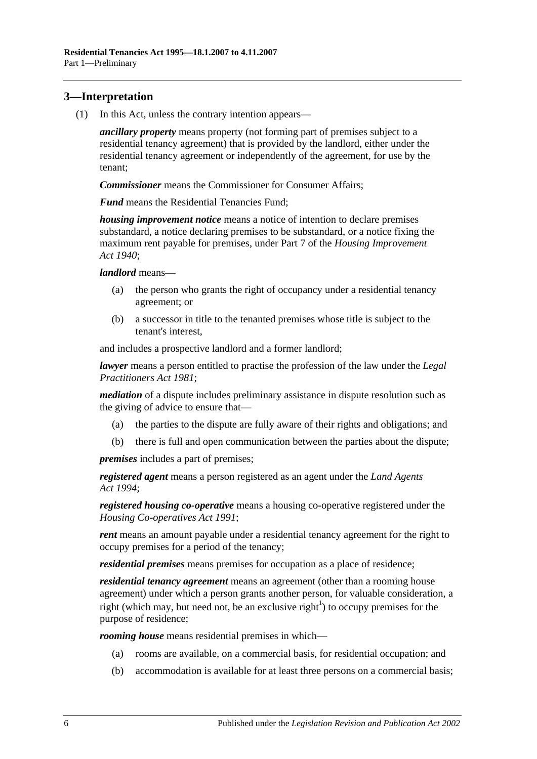## <span id="page-5-0"></span>**3—Interpretation**

(1) In this Act, unless the contrary intention appears—

*ancillary property* means property (not forming part of premises subject to a residential tenancy agreement) that is provided by the landlord, either under the residential tenancy agreement or independently of the agreement, for use by the tenant;

*Commissioner* means the Commissioner for Consumer Affairs;

*Fund* means the Residential Tenancies Fund;

*housing improvement notice* means a notice of intention to declare premises substandard, a notice declaring premises to be substandard, or a notice fixing the maximum rent payable for premises, under Part 7 of the *[Housing Improvement](http://www.legislation.sa.gov.au/index.aspx?action=legref&type=act&legtitle=Housing%20Improvement%20Act%201940)  Act [1940](http://www.legislation.sa.gov.au/index.aspx?action=legref&type=act&legtitle=Housing%20Improvement%20Act%201940)*;

*landlord* means—

- (a) the person who grants the right of occupancy under a residential tenancy agreement; or
- (b) a successor in title to the tenanted premises whose title is subject to the tenant's interest,

and includes a prospective landlord and a former landlord;

*lawyer* means a person entitled to practise the profession of the law under the *[Legal](http://www.legislation.sa.gov.au/index.aspx?action=legref&type=act&legtitle=Legal%20Practitioners%20Act%201981)  [Practitioners Act](http://www.legislation.sa.gov.au/index.aspx?action=legref&type=act&legtitle=Legal%20Practitioners%20Act%201981) 1981*;

*mediation* of a dispute includes preliminary assistance in dispute resolution such as the giving of advice to ensure that—

- (a) the parties to the dispute are fully aware of their rights and obligations; and
- (b) there is full and open communication between the parties about the dispute;

*premises* includes a part of premises;

*registered agent* means a person registered as an agent under the *[Land Agents](http://www.legislation.sa.gov.au/index.aspx?action=legref&type=act&legtitle=Land%20Agents%20Act%201994)  Act [1994](http://www.legislation.sa.gov.au/index.aspx?action=legref&type=act&legtitle=Land%20Agents%20Act%201994)*;

*registered housing co-operative* means a housing co-operative registered under the *[Housing Co-operatives Act](http://www.legislation.sa.gov.au/index.aspx?action=legref&type=act&legtitle=Housing%20Co-operatives%20Act%201991) 1991*;

*rent* means an amount payable under a residential tenancy agreement for the right to occupy premises for a period of the tenancy;

*residential premises* means premises for occupation as a place of residence;

*residential tenancy agreement* means an agreement (other than a rooming house agreement) under which a person grants another person, for valuable consideration, a right (which may, but need not, be an exclusive right<sup>1</sup>) to occupy premises for the purpose of residence;

*rooming house* means residential premises in which—

- (a) rooms are available, on a commercial basis, for residential occupation; and
- (b) accommodation is available for at least three persons on a commercial basis;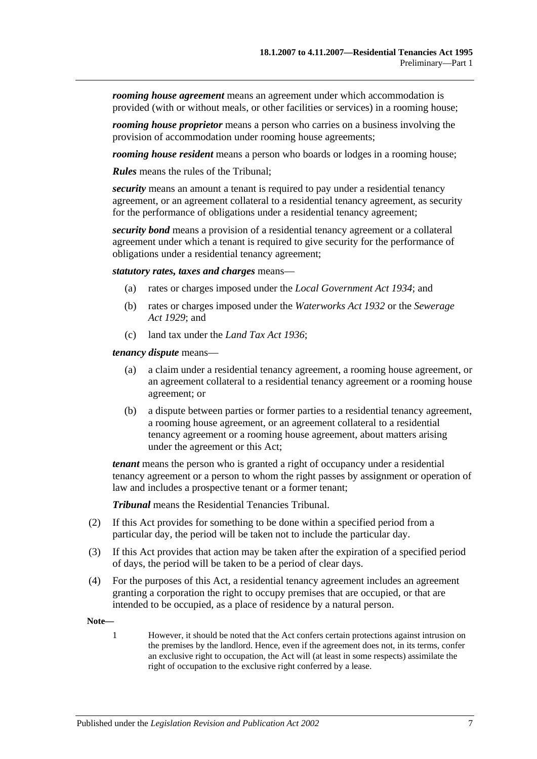*rooming house agreement* means an agreement under which accommodation is provided (with or without meals, or other facilities or services) in a rooming house;

*rooming house proprietor* means a person who carries on a business involving the provision of accommodation under rooming house agreements;

*rooming house resident* means a person who boards or lodges in a rooming house;

*Rules* means the rules of the Tribunal;

*security* means an amount a tenant is required to pay under a residential tenancy agreement, or an agreement collateral to a residential tenancy agreement, as security for the performance of obligations under a residential tenancy agreement;

*security bond* means a provision of a residential tenancy agreement or a collateral agreement under which a tenant is required to give security for the performance of obligations under a residential tenancy agreement;

*statutory rates, taxes and charges* means—

- (a) rates or charges imposed under the *[Local Government Act](http://www.legislation.sa.gov.au/index.aspx?action=legref&type=act&legtitle=Local%20Government%20Act%201934) 1934*; and
- (b) rates or charges imposed under the *[Waterworks Act](http://www.legislation.sa.gov.au/index.aspx?action=legref&type=act&legtitle=Waterworks%20Act%201932) 1932* or the *[Sewerage](http://www.legislation.sa.gov.au/index.aspx?action=legref&type=act&legtitle=Sewerage%20Act%201929)  Act [1929](http://www.legislation.sa.gov.au/index.aspx?action=legref&type=act&legtitle=Sewerage%20Act%201929)*; and
- (c) land tax under the *[Land Tax Act](http://www.legislation.sa.gov.au/index.aspx?action=legref&type=act&legtitle=Land%20Tax%20Act%201936) 1936*;

*tenancy dispute* means—

- (a) a claim under a residential tenancy agreement, a rooming house agreement, or an agreement collateral to a residential tenancy agreement or a rooming house agreement; or
- (b) a dispute between parties or former parties to a residential tenancy agreement, a rooming house agreement, or an agreement collateral to a residential tenancy agreement or a rooming house agreement, about matters arising under the agreement or this Act;

*tenant* means the person who is granted a right of occupancy under a residential tenancy agreement or a person to whom the right passes by assignment or operation of law and includes a prospective tenant or a former tenant;

*Tribunal* means the Residential Tenancies Tribunal.

- (2) If this Act provides for something to be done within a specified period from a particular day, the period will be taken not to include the particular day.
- (3) If this Act provides that action may be taken after the expiration of a specified period of days, the period will be taken to be a period of clear days.
- (4) For the purposes of this Act, a residential tenancy agreement includes an agreement granting a corporation the right to occupy premises that are occupied, or that are intended to be occupied, as a place of residence by a natural person.

**Note—**

1 However, it should be noted that the Act confers certain protections against intrusion on the premises by the landlord. Hence, even if the agreement does not, in its terms, confer an exclusive right to occupation, the Act will (at least in some respects) assimilate the right of occupation to the exclusive right conferred by a lease.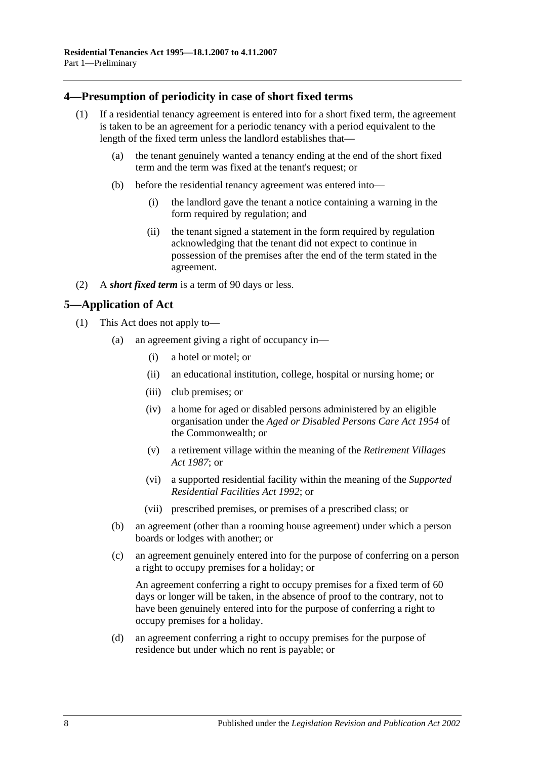## <span id="page-7-0"></span>**4—Presumption of periodicity in case of short fixed terms**

- (1) If a residential tenancy agreement is entered into for a short fixed term, the agreement is taken to be an agreement for a periodic tenancy with a period equivalent to the length of the fixed term unless the landlord establishes that—
	- (a) the tenant genuinely wanted a tenancy ending at the end of the short fixed term and the term was fixed at the tenant's request; or
	- (b) before the residential tenancy agreement was entered into—
		- (i) the landlord gave the tenant a notice containing a warning in the form required by regulation; and
		- (ii) the tenant signed a statement in the form required by regulation acknowledging that the tenant did not expect to continue in possession of the premises after the end of the term stated in the agreement.
- (2) A *short fixed term* is a term of 90 days or less.

## <span id="page-7-1"></span>**5—Application of Act**

- (1) This Act does not apply to—
	- (a) an agreement giving a right of occupancy in—
		- (i) a hotel or motel; or
		- (ii) an educational institution, college, hospital or nursing home; or
		- (iii) club premises; or
		- (iv) a home for aged or disabled persons administered by an eligible organisation under the *Aged or Disabled Persons Care Act 1954* of the Commonwealth; or
		- (v) a retirement village within the meaning of the *[Retirement Villages](http://www.legislation.sa.gov.au/index.aspx?action=legref&type=act&legtitle=Retirement%20Villages%20Act%201987)  Act [1987](http://www.legislation.sa.gov.au/index.aspx?action=legref&type=act&legtitle=Retirement%20Villages%20Act%201987)*; or
		- (vi) a supported residential facility within the meaning of the *[Supported](http://www.legislation.sa.gov.au/index.aspx?action=legref&type=act&legtitle=Supported%20Residential%20Facilities%20Act%201992)  [Residential Facilities Act](http://www.legislation.sa.gov.au/index.aspx?action=legref&type=act&legtitle=Supported%20Residential%20Facilities%20Act%201992) 1992*; or
		- (vii) prescribed premises, or premises of a prescribed class; or
	- (b) an agreement (other than a rooming house agreement) under which a person boards or lodges with another; or
	- (c) an agreement genuinely entered into for the purpose of conferring on a person a right to occupy premises for a holiday; or

An agreement conferring a right to occupy premises for a fixed term of 60 days or longer will be taken, in the absence of proof to the contrary, not to have been genuinely entered into for the purpose of conferring a right to occupy premises for a holiday.

(d) an agreement conferring a right to occupy premises for the purpose of residence but under which no rent is payable; or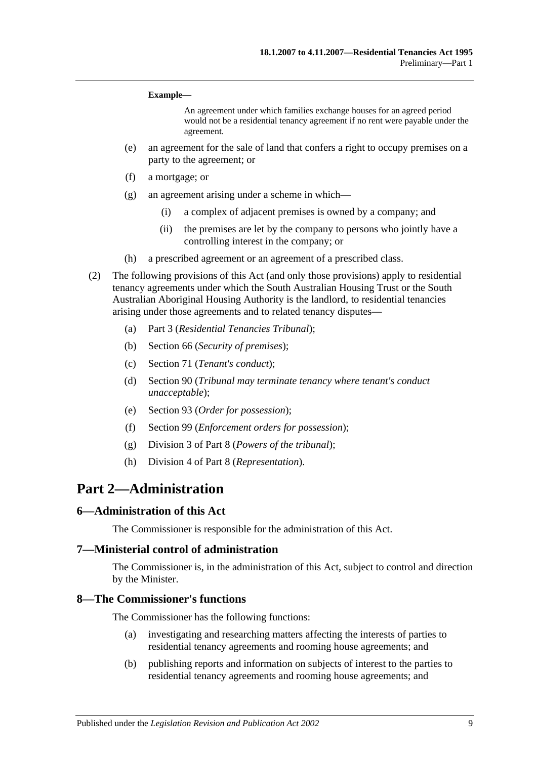#### **Example—**

An agreement under which families exchange houses for an agreed period would not be a residential tenancy agreement if no rent were payable under the agreement.

- (e) an agreement for the sale of land that confers a right to occupy premises on a party to the agreement; or
- (f) a mortgage; or
- (g) an agreement arising under a scheme in which—
	- (i) a complex of adjacent premises is owned by a company; and
	- (ii) the premises are let by the company to persons who jointly have a controlling interest in the company; or
- (h) a prescribed agreement or an agreement of a prescribed class.
- (2) The following provisions of this Act (and only those provisions) apply to residential tenancy agreements under which the South Australian Housing Trust or the South Australian Aboriginal Housing Authority is the landlord, to residential tenancies arising under those agreements and to related tenancy disputes—
	- (a) [Part 3](#page-9-2) (*Residential Tenancies Tribunal*);
	- (b) [Section](#page-27-4) 66 (*Security of premises*);
	- (c) [Section](#page-30-1) 71 (*Tenant's conduct*);
	- (d) [Section](#page-38-1) 90 (*Tribunal may terminate tenancy where tenant's conduct unacceptable*);
	- (e) [Section](#page-39-4) 93 (*Order for possession*);
	- (f) [Section](#page-42-2) 99 (*Enforcement orders for possession*);
	- (g) [Division 3](#page-45-4) of [Part 8](#page-44-6) (*Powers of the tribunal*);
	- (h) [Division 4](#page-46-2) of [Part 8](#page-44-6) (*Representation*).

## <span id="page-8-0"></span>**Part 2—Administration**

#### <span id="page-8-1"></span>**6—Administration of this Act**

The Commissioner is responsible for the administration of this Act.

#### <span id="page-8-2"></span>**7—Ministerial control of administration**

The Commissioner is, in the administration of this Act, subject to control and direction by the Minister.

#### <span id="page-8-3"></span>**8—The Commissioner's functions**

The Commissioner has the following functions:

- (a) investigating and researching matters affecting the interests of parties to residential tenancy agreements and rooming house agreements; and
- (b) publishing reports and information on subjects of interest to the parties to residential tenancy agreements and rooming house agreements; and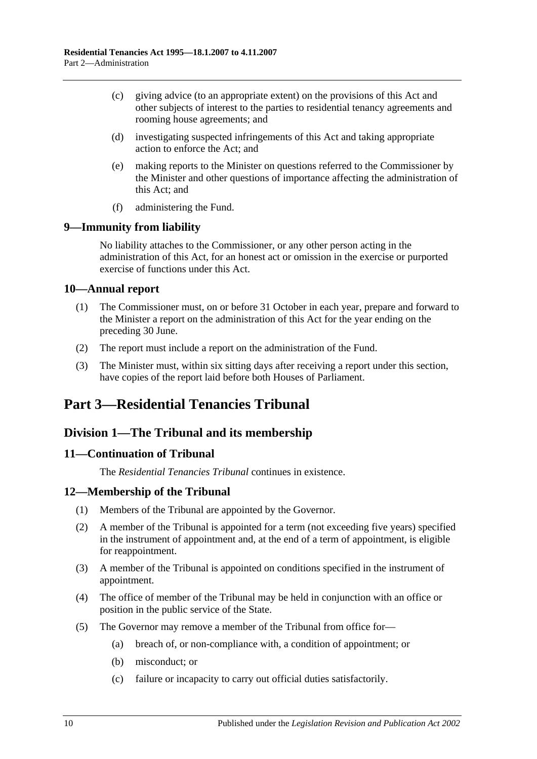- (c) giving advice (to an appropriate extent) on the provisions of this Act and other subjects of interest to the parties to residential tenancy agreements and rooming house agreements; and
- (d) investigating suspected infringements of this Act and taking appropriate action to enforce the Act; and
- (e) making reports to the Minister on questions referred to the Commissioner by the Minister and other questions of importance affecting the administration of this Act; and
- (f) administering the Fund.

## <span id="page-9-0"></span>**9—Immunity from liability**

No liability attaches to the Commissioner, or any other person acting in the administration of this Act, for an honest act or omission in the exercise or purported exercise of functions under this Act.

## <span id="page-9-1"></span>**10—Annual report**

- (1) The Commissioner must, on or before 31 October in each year, prepare and forward to the Minister a report on the administration of this Act for the year ending on the preceding 30 June.
- (2) The report must include a report on the administration of the Fund.
- (3) The Minister must, within six sitting days after receiving a report under this section, have copies of the report laid before both Houses of Parliament.

# <span id="page-9-2"></span>**Part 3—Residential Tenancies Tribunal**

## <span id="page-9-3"></span>**Division 1—The Tribunal and its membership**

## <span id="page-9-4"></span>**11—Continuation of Tribunal**

The *Residential Tenancies Tribunal* continues in existence.

## <span id="page-9-5"></span>**12—Membership of the Tribunal**

- (1) Members of the Tribunal are appointed by the Governor.
- (2) A member of the Tribunal is appointed for a term (not exceeding five years) specified in the instrument of appointment and, at the end of a term of appointment, is eligible for reappointment.
- (3) A member of the Tribunal is appointed on conditions specified in the instrument of appointment.
- (4) The office of member of the Tribunal may be held in conjunction with an office or position in the public service of the State.
- <span id="page-9-6"></span>(5) The Governor may remove a member of the Tribunal from office for—
	- (a) breach of, or non-compliance with, a condition of appointment; or
	- (b) misconduct; or
	- (c) failure or incapacity to carry out official duties satisfactorily.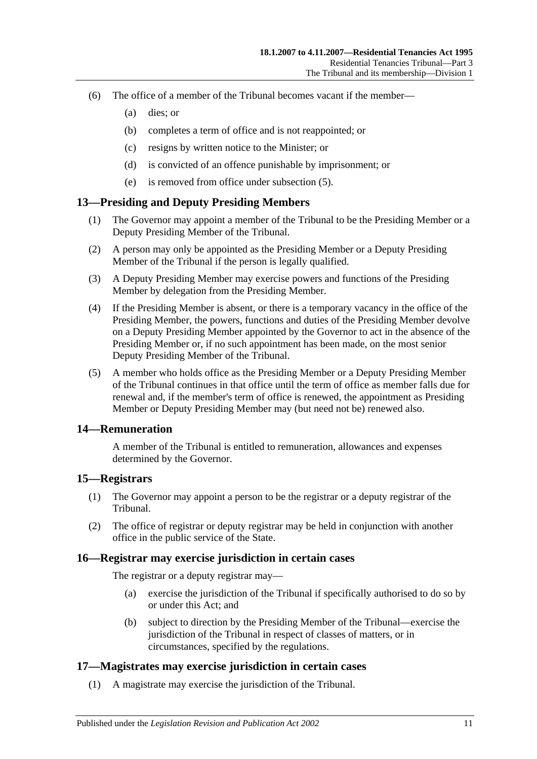- (6) The office of a member of the Tribunal becomes vacant if the member—
	- (a) dies; or
	- (b) completes a term of office and is not reappointed; or
	- (c) resigns by written notice to the Minister; or
	- (d) is convicted of an offence punishable by imprisonment; or
	- (e) is removed from office under [subsection](#page-9-6) (5).

### <span id="page-10-0"></span>**13—Presiding and Deputy Presiding Members**

- (1) The Governor may appoint a member of the Tribunal to be the Presiding Member or a Deputy Presiding Member of the Tribunal.
- (2) A person may only be appointed as the Presiding Member or a Deputy Presiding Member of the Tribunal if the person is legally qualified.
- (3) A Deputy Presiding Member may exercise powers and functions of the Presiding Member by delegation from the Presiding Member.
- (4) If the Presiding Member is absent, or there is a temporary vacancy in the office of the Presiding Member, the powers, functions and duties of the Presiding Member devolve on a Deputy Presiding Member appointed by the Governor to act in the absence of the Presiding Member or, if no such appointment has been made, on the most senior Deputy Presiding Member of the Tribunal.
- (5) A member who holds office as the Presiding Member or a Deputy Presiding Member of the Tribunal continues in that office until the term of office as member falls due for renewal and, if the member's term of office is renewed, the appointment as Presiding Member or Deputy Presiding Member may (but need not be) renewed also.

#### <span id="page-10-1"></span>**14—Remuneration**

A member of the Tribunal is entitled to remuneration, allowances and expenses determined by the Governor.

#### <span id="page-10-2"></span>**15—Registrars**

- (1) The Governor may appoint a person to be the registrar or a deputy registrar of the Tribunal.
- (2) The office of registrar or deputy registrar may be held in conjunction with another office in the public service of the State.

#### <span id="page-10-3"></span>**16—Registrar may exercise jurisdiction in certain cases**

The registrar or a deputy registrar may—

- (a) exercise the jurisdiction of the Tribunal if specifically authorised to do so by or under this Act; and
- (b) subject to direction by the Presiding Member of the Tribunal—exercise the jurisdiction of the Tribunal in respect of classes of matters, or in circumstances, specified by the regulations.

#### <span id="page-10-4"></span>**17—Magistrates may exercise jurisdiction in certain cases**

(1) A magistrate may exercise the jurisdiction of the Tribunal.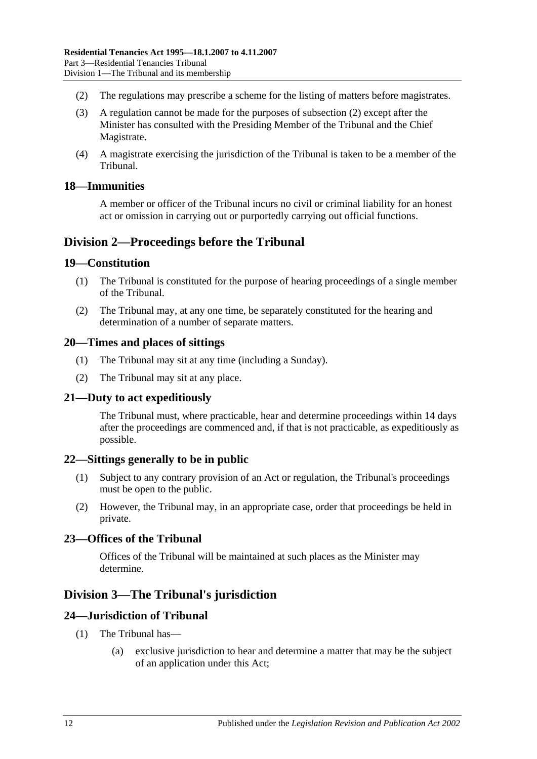- <span id="page-11-9"></span>(2) The regulations may prescribe a scheme for the listing of matters before magistrates.
- (3) A regulation cannot be made for the purposes of [subsection](#page-11-9) (2) except after the Minister has consulted with the Presiding Member of the Tribunal and the Chief Magistrate.
- (4) A magistrate exercising the jurisdiction of the Tribunal is taken to be a member of the Tribunal.

### <span id="page-11-0"></span>**18—Immunities**

A member or officer of the Tribunal incurs no civil or criminal liability for an honest act or omission in carrying out or purportedly carrying out official functions.

## <span id="page-11-1"></span>**Division 2—Proceedings before the Tribunal**

### <span id="page-11-2"></span>**19—Constitution**

- (1) The Tribunal is constituted for the purpose of hearing proceedings of a single member of the Tribunal.
- (2) The Tribunal may, at any one time, be separately constituted for the hearing and determination of a number of separate matters.

### <span id="page-11-3"></span>**20—Times and places of sittings**

- (1) The Tribunal may sit at any time (including a Sunday).
- (2) The Tribunal may sit at any place.

### <span id="page-11-4"></span>**21—Duty to act expeditiously**

The Tribunal must, where practicable, hear and determine proceedings within 14 days after the proceedings are commenced and, if that is not practicable, as expeditiously as possible.

#### <span id="page-11-5"></span>**22—Sittings generally to be in public**

- (1) Subject to any contrary provision of an Act or regulation, the Tribunal's proceedings must be open to the public.
- (2) However, the Tribunal may, in an appropriate case, order that proceedings be held in private.

### <span id="page-11-6"></span>**23—Offices of the Tribunal**

Offices of the Tribunal will be maintained at such places as the Minister may determine.

## <span id="page-11-7"></span>**Division 3—The Tribunal's jurisdiction**

#### <span id="page-11-8"></span>**24—Jurisdiction of Tribunal**

- (1) The Tribunal has—
	- (a) exclusive jurisdiction to hear and determine a matter that may be the subject of an application under this Act;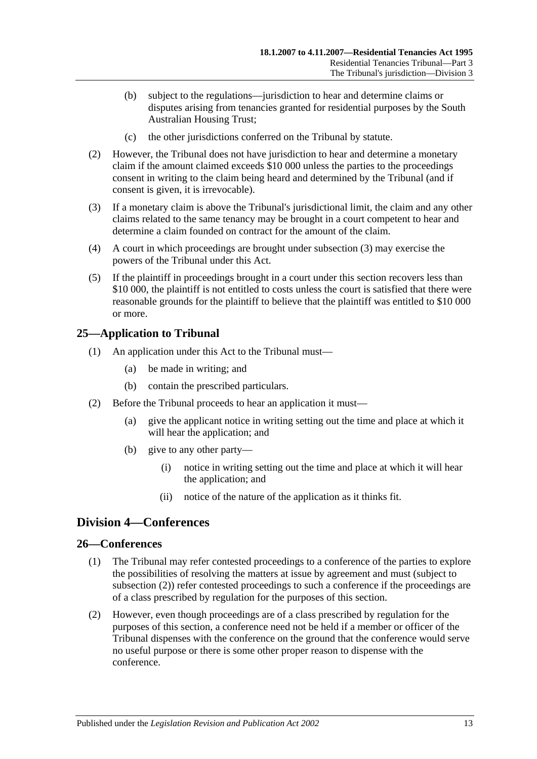- (b) subject to the regulations—jurisdiction to hear and determine claims or disputes arising from tenancies granted for residential purposes by the South Australian Housing Trust;
- (c) the other jurisdictions conferred on the Tribunal by statute.
- (2) However, the Tribunal does not have jurisdiction to hear and determine a monetary claim if the amount claimed exceeds \$10 000 unless the parties to the proceedings consent in writing to the claim being heard and determined by the Tribunal (and if consent is given, it is irrevocable).
- <span id="page-12-3"></span>(3) If a monetary claim is above the Tribunal's jurisdictional limit, the claim and any other claims related to the same tenancy may be brought in a court competent to hear and determine a claim founded on contract for the amount of the claim.
- (4) A court in which proceedings are brought under [subsection](#page-12-3) (3) may exercise the powers of the Tribunal under this Act.
- (5) If the plaintiff in proceedings brought in a court under this section recovers less than \$10 000, the plaintiff is not entitled to costs unless the court is satisfied that there were reasonable grounds for the plaintiff to believe that the plaintiff was entitled to \$10 000 or more.

### <span id="page-12-0"></span>**25—Application to Tribunal**

- (1) An application under this Act to the Tribunal must—
	- (a) be made in writing; and
	- (b) contain the prescribed particulars.
- (2) Before the Tribunal proceeds to hear an application it must—
	- (a) give the applicant notice in writing setting out the time and place at which it will hear the application; and
	- (b) give to any other party—
		- (i) notice in writing setting out the time and place at which it will hear the application; and
		- (ii) notice of the nature of the application as it thinks fit.

## <span id="page-12-1"></span>**Division 4—Conferences**

#### <span id="page-12-2"></span>**26—Conferences**

- (1) The Tribunal may refer contested proceedings to a conference of the parties to explore the possibilities of resolving the matters at issue by agreement and must (subject to [subsection](#page-12-4) (2)) refer contested proceedings to such a conference if the proceedings are of a class prescribed by regulation for the purposes of this section.
- <span id="page-12-4"></span>(2) However, even though proceedings are of a class prescribed by regulation for the purposes of this section, a conference need not be held if a member or officer of the Tribunal dispenses with the conference on the ground that the conference would serve no useful purpose or there is some other proper reason to dispense with the conference.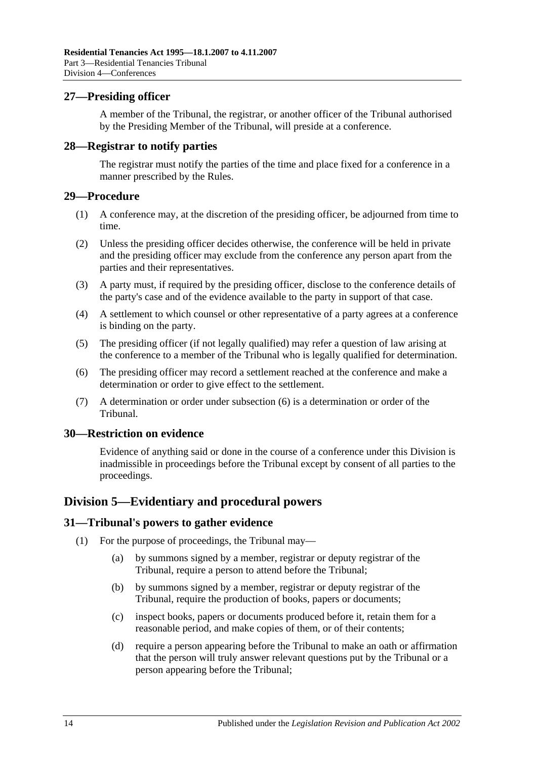### <span id="page-13-0"></span>**27—Presiding officer**

A member of the Tribunal, the registrar, or another officer of the Tribunal authorised by the Presiding Member of the Tribunal, will preside at a conference.

### <span id="page-13-1"></span>**28—Registrar to notify parties**

The registrar must notify the parties of the time and place fixed for a conference in a manner prescribed by the Rules.

#### <span id="page-13-2"></span>**29—Procedure**

- (1) A conference may, at the discretion of the presiding officer, be adjourned from time to time.
- (2) Unless the presiding officer decides otherwise, the conference will be held in private and the presiding officer may exclude from the conference any person apart from the parties and their representatives.
- (3) A party must, if required by the presiding officer, disclose to the conference details of the party's case and of the evidence available to the party in support of that case.
- (4) A settlement to which counsel or other representative of a party agrees at a conference is binding on the party.
- (5) The presiding officer (if not legally qualified) may refer a question of law arising at the conference to a member of the Tribunal who is legally qualified for determination.
- <span id="page-13-6"></span>(6) The presiding officer may record a settlement reached at the conference and make a determination or order to give effect to the settlement.
- (7) A determination or order under [subsection](#page-13-6) (6) is a determination or order of the Tribunal.

#### <span id="page-13-3"></span>**30—Restriction on evidence**

Evidence of anything said or done in the course of a conference under this Division is inadmissible in proceedings before the Tribunal except by consent of all parties to the proceedings.

### <span id="page-13-4"></span>**Division 5—Evidentiary and procedural powers**

#### <span id="page-13-7"></span><span id="page-13-5"></span>**31—Tribunal's powers to gather evidence**

- (1) For the purpose of proceedings, the Tribunal may—
	- (a) by summons signed by a member, registrar or deputy registrar of the Tribunal, require a person to attend before the Tribunal;
	- (b) by summons signed by a member, registrar or deputy registrar of the Tribunal, require the production of books, papers or documents;
	- (c) inspect books, papers or documents produced before it, retain them for a reasonable period, and make copies of them, or of their contents;
	- (d) require a person appearing before the Tribunal to make an oath or affirmation that the person will truly answer relevant questions put by the Tribunal or a person appearing before the Tribunal;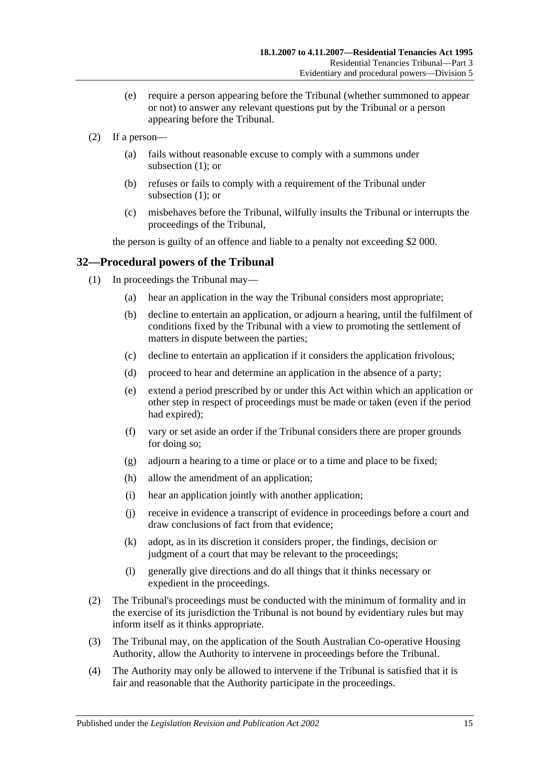- (e) require a person appearing before the Tribunal (whether summoned to appear or not) to answer any relevant questions put by the Tribunal or a person appearing before the Tribunal.
- (2) If a person—
	- (a) fails without reasonable excuse to comply with a summons under [subsection](#page-13-7)  $(1)$ ; or
	- (b) refuses or fails to comply with a requirement of the Tribunal under [subsection](#page-13-7) (1); or
	- (c) misbehaves before the Tribunal, wilfully insults the Tribunal or interrupts the proceedings of the Tribunal,

the person is guilty of an offence and liable to a penalty not exceeding \$2 000.

### <span id="page-14-0"></span>**32—Procedural powers of the Tribunal**

- (1) In proceedings the Tribunal may—
	- (a) hear an application in the way the Tribunal considers most appropriate;
	- (b) decline to entertain an application, or adjourn a hearing, until the fulfilment of conditions fixed by the Tribunal with a view to promoting the settlement of matters in dispute between the parties;
	- (c) decline to entertain an application if it considers the application frivolous;
	- (d) proceed to hear and determine an application in the absence of a party;
	- (e) extend a period prescribed by or under this Act within which an application or other step in respect of proceedings must be made or taken (even if the period had expired);
	- (f) vary or set aside an order if the Tribunal considers there are proper grounds for doing so;
	- (g) adjourn a hearing to a time or place or to a time and place to be fixed;
	- (h) allow the amendment of an application;
	- (i) hear an application jointly with another application;
	- (j) receive in evidence a transcript of evidence in proceedings before a court and draw conclusions of fact from that evidence;
	- (k) adopt, as in its discretion it considers proper, the findings, decision or judgment of a court that may be relevant to the proceedings;
	- (l) generally give directions and do all things that it thinks necessary or expedient in the proceedings.
- (2) The Tribunal's proceedings must be conducted with the minimum of formality and in the exercise of its jurisdiction the Tribunal is not bound by evidentiary rules but may inform itself as it thinks appropriate.
- (3) The Tribunal may, on the application of the South Australian Co-operative Housing Authority, allow the Authority to intervene in proceedings before the Tribunal.
- (4) The Authority may only be allowed to intervene if the Tribunal is satisfied that it is fair and reasonable that the Authority participate in the proceedings.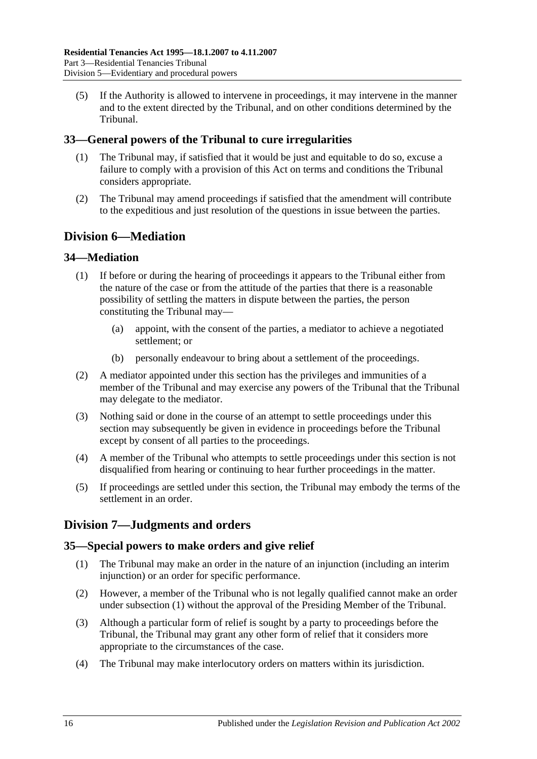(5) If the Authority is allowed to intervene in proceedings, it may intervene in the manner and to the extent directed by the Tribunal, and on other conditions determined by the Tribunal.

## <span id="page-15-0"></span>**33—General powers of the Tribunal to cure irregularities**

- (1) The Tribunal may, if satisfied that it would be just and equitable to do so, excuse a failure to comply with a provision of this Act on terms and conditions the Tribunal considers appropriate.
- (2) The Tribunal may amend proceedings if satisfied that the amendment will contribute to the expeditious and just resolution of the questions in issue between the parties.

## <span id="page-15-1"></span>**Division 6—Mediation**

### <span id="page-15-2"></span>**34—Mediation**

- (1) If before or during the hearing of proceedings it appears to the Tribunal either from the nature of the case or from the attitude of the parties that there is a reasonable possibility of settling the matters in dispute between the parties, the person constituting the Tribunal may—
	- (a) appoint, with the consent of the parties, a mediator to achieve a negotiated settlement; or
	- (b) personally endeavour to bring about a settlement of the proceedings.
- (2) A mediator appointed under this section has the privileges and immunities of a member of the Tribunal and may exercise any powers of the Tribunal that the Tribunal may delegate to the mediator.
- (3) Nothing said or done in the course of an attempt to settle proceedings under this section may subsequently be given in evidence in proceedings before the Tribunal except by consent of all parties to the proceedings.
- (4) A member of the Tribunal who attempts to settle proceedings under this section is not disqualified from hearing or continuing to hear further proceedings in the matter.
- (5) If proceedings are settled under this section, the Tribunal may embody the terms of the settlement in an order.

## <span id="page-15-3"></span>**Division 7—Judgments and orders**

### <span id="page-15-5"></span><span id="page-15-4"></span>**35—Special powers to make orders and give relief**

- (1) The Tribunal may make an order in the nature of an injunction (including an interim injunction) or an order for specific performance.
- (2) However, a member of the Tribunal who is not legally qualified cannot make an order under [subsection](#page-15-5) (1) without the approval of the Presiding Member of the Tribunal.
- (3) Although a particular form of relief is sought by a party to proceedings before the Tribunal, the Tribunal may grant any other form of relief that it considers more appropriate to the circumstances of the case.
- (4) The Tribunal may make interlocutory orders on matters within its jurisdiction.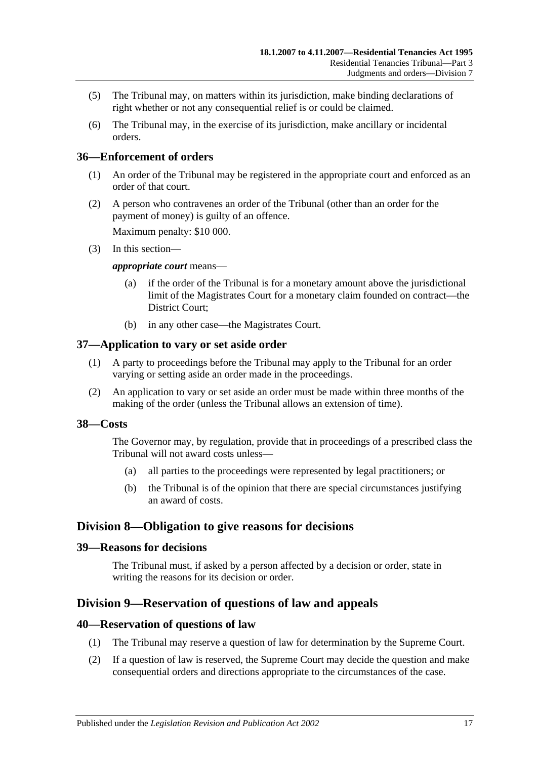- (5) The Tribunal may, on matters within its jurisdiction, make binding declarations of right whether or not any consequential relief is or could be claimed.
- (6) The Tribunal may, in the exercise of its jurisdiction, make ancillary or incidental orders.

### <span id="page-16-0"></span>**36—Enforcement of orders**

- (1) An order of the Tribunal may be registered in the appropriate court and enforced as an order of that court.
- (2) A person who contravenes an order of the Tribunal (other than an order for the payment of money) is guilty of an offence.

Maximum penalty: \$10 000.

(3) In this section—

#### *appropriate court* means—

- (a) if the order of the Tribunal is for a monetary amount above the jurisdictional limit of the Magistrates Court for a monetary claim founded on contract—the District Court;
- (b) in any other case—the Magistrates Court.

### <span id="page-16-1"></span>**37—Application to vary or set aside order**

- (1) A party to proceedings before the Tribunal may apply to the Tribunal for an order varying or setting aside an order made in the proceedings.
- (2) An application to vary or set aside an order must be made within three months of the making of the order (unless the Tribunal allows an extension of time).

#### <span id="page-16-2"></span>**38—Costs**

The Governor may, by regulation, provide that in proceedings of a prescribed class the Tribunal will not award costs unless—

- (a) all parties to the proceedings were represented by legal practitioners; or
- (b) the Tribunal is of the opinion that there are special circumstances justifying an award of costs.

### <span id="page-16-3"></span>**Division 8—Obligation to give reasons for decisions**

### <span id="page-16-4"></span>**39—Reasons for decisions**

The Tribunal must, if asked by a person affected by a decision or order, state in writing the reasons for its decision or order.

## <span id="page-16-5"></span>**Division 9—Reservation of questions of law and appeals**

#### <span id="page-16-6"></span>**40—Reservation of questions of law**

- (1) The Tribunal may reserve a question of law for determination by the Supreme Court.
- (2) If a question of law is reserved, the Supreme Court may decide the question and make consequential orders and directions appropriate to the circumstances of the case.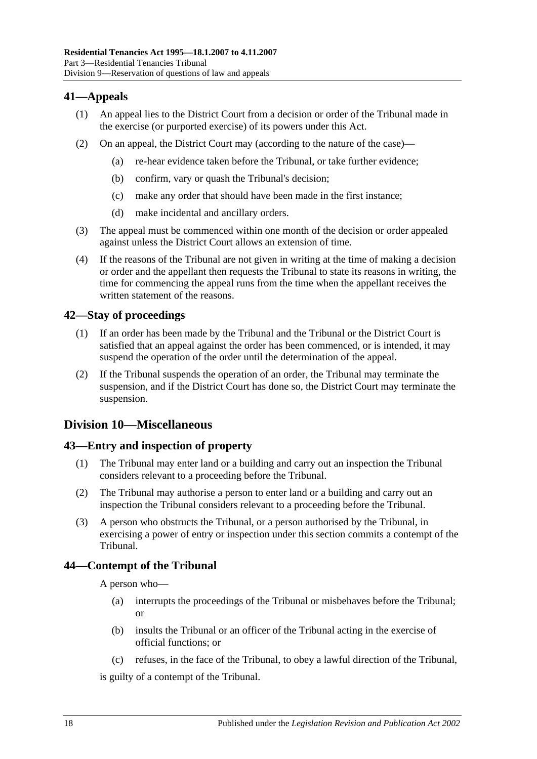## <span id="page-17-0"></span>**41—Appeals**

- (1) An appeal lies to the District Court from a decision or order of the Tribunal made in the exercise (or purported exercise) of its powers under this Act.
- (2) On an appeal, the District Court may (according to the nature of the case)—
	- (a) re-hear evidence taken before the Tribunal, or take further evidence;
	- (b) confirm, vary or quash the Tribunal's decision;
	- (c) make any order that should have been made in the first instance;
	- (d) make incidental and ancillary orders.
- (3) The appeal must be commenced within one month of the decision or order appealed against unless the District Court allows an extension of time.
- (4) If the reasons of the Tribunal are not given in writing at the time of making a decision or order and the appellant then requests the Tribunal to state its reasons in writing, the time for commencing the appeal runs from the time when the appellant receives the written statement of the reasons.

## <span id="page-17-1"></span>**42—Stay of proceedings**

- (1) If an order has been made by the Tribunal and the Tribunal or the District Court is satisfied that an appeal against the order has been commenced, or is intended, it may suspend the operation of the order until the determination of the appeal.
- (2) If the Tribunal suspends the operation of an order, the Tribunal may terminate the suspension, and if the District Court has done so, the District Court may terminate the suspension.

## <span id="page-17-2"></span>**Division 10—Miscellaneous**

## <span id="page-17-3"></span>**43—Entry and inspection of property**

- (1) The Tribunal may enter land or a building and carry out an inspection the Tribunal considers relevant to a proceeding before the Tribunal.
- (2) The Tribunal may authorise a person to enter land or a building and carry out an inspection the Tribunal considers relevant to a proceeding before the Tribunal.
- (3) A person who obstructs the Tribunal, or a person authorised by the Tribunal, in exercising a power of entry or inspection under this section commits a contempt of the Tribunal.

## <span id="page-17-4"></span>**44—Contempt of the Tribunal**

A person who—

- (a) interrupts the proceedings of the Tribunal or misbehaves before the Tribunal; or
- (b) insults the Tribunal or an officer of the Tribunal acting in the exercise of official functions; or
- (c) refuses, in the face of the Tribunal, to obey a lawful direction of the Tribunal,

is guilty of a contempt of the Tribunal.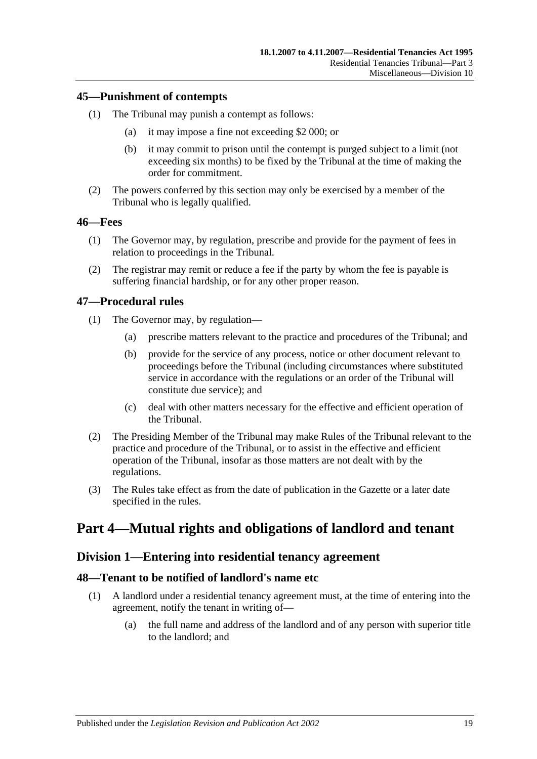### <span id="page-18-0"></span>**45—Punishment of contempts**

- (1) The Tribunal may punish a contempt as follows:
	- (a) it may impose a fine not exceeding \$2 000; or
	- (b) it may commit to prison until the contempt is purged subject to a limit (not exceeding six months) to be fixed by the Tribunal at the time of making the order for commitment.
- (2) The powers conferred by this section may only be exercised by a member of the Tribunal who is legally qualified.

#### <span id="page-18-1"></span>**46—Fees**

- (1) The Governor may, by regulation, prescribe and provide for the payment of fees in relation to proceedings in the Tribunal.
- (2) The registrar may remit or reduce a fee if the party by whom the fee is payable is suffering financial hardship, or for any other proper reason.

### <span id="page-18-2"></span>**47—Procedural rules**

- (1) The Governor may, by regulation—
	- (a) prescribe matters relevant to the practice and procedures of the Tribunal; and
	- (b) provide for the service of any process, notice or other document relevant to proceedings before the Tribunal (including circumstances where substituted service in accordance with the regulations or an order of the Tribunal will constitute due service); and
	- (c) deal with other matters necessary for the effective and efficient operation of the Tribunal.
- (2) The Presiding Member of the Tribunal may make Rules of the Tribunal relevant to the practice and procedure of the Tribunal, or to assist in the effective and efficient operation of the Tribunal, insofar as those matters are not dealt with by the regulations.
- (3) The Rules take effect as from the date of publication in the Gazette or a later date specified in the rules.

# <span id="page-18-4"></span><span id="page-18-3"></span>**Part 4—Mutual rights and obligations of landlord and tenant**

### **Division 1—Entering into residential tenancy agreement**

### <span id="page-18-5"></span>**48—Tenant to be notified of landlord's name etc**

- (1) A landlord under a residential tenancy agreement must, at the time of entering into the agreement, notify the tenant in writing of—
	- (a) the full name and address of the landlord and of any person with superior title to the landlord; and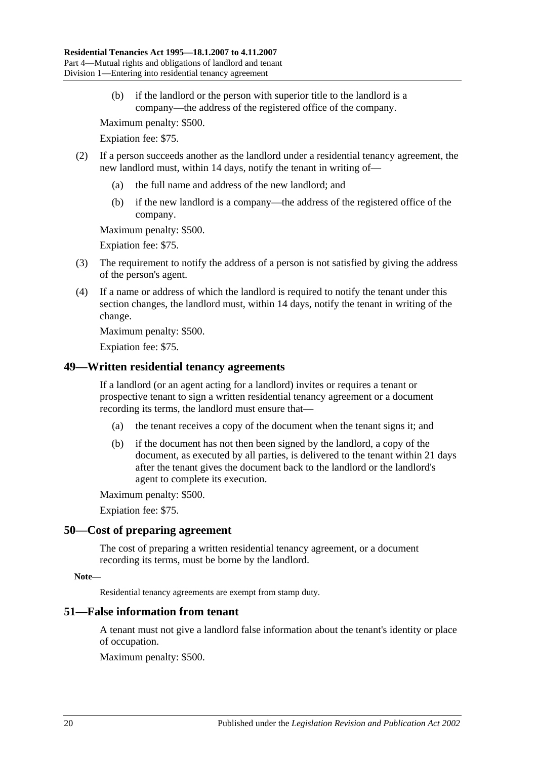(b) if the landlord or the person with superior title to the landlord is a company—the address of the registered office of the company.

Maximum penalty: \$500.

Expiation fee: \$75.

- (2) If a person succeeds another as the landlord under a residential tenancy agreement, the new landlord must, within 14 days, notify the tenant in writing of—
	- (a) the full name and address of the new landlord; and
	- (b) if the new landlord is a company—the address of the registered office of the company.

Maximum penalty: \$500.

Expiation fee: \$75.

- (3) The requirement to notify the address of a person is not satisfied by giving the address of the person's agent.
- (4) If a name or address of which the landlord is required to notify the tenant under this section changes, the landlord must, within 14 days, notify the tenant in writing of the change.

Maximum penalty: \$500.

Expiation fee: \$75.

### <span id="page-19-0"></span>**49—Written residential tenancy agreements**

If a landlord (or an agent acting for a landlord) invites or requires a tenant or prospective tenant to sign a written residential tenancy agreement or a document recording its terms, the landlord must ensure that—

- (a) the tenant receives a copy of the document when the tenant signs it; and
- (b) if the document has not then been signed by the landlord, a copy of the document, as executed by all parties, is delivered to the tenant within 21 days after the tenant gives the document back to the landlord or the landlord's agent to complete its execution.

Maximum penalty: \$500.

Expiation fee: \$75.

#### <span id="page-19-1"></span>**50—Cost of preparing agreement**

The cost of preparing a written residential tenancy agreement, or a document recording its terms, must be borne by the landlord.

#### **Note—**

Residential tenancy agreements are exempt from stamp duty.

#### <span id="page-19-2"></span>**51—False information from tenant**

A tenant must not give a landlord false information about the tenant's identity or place of occupation.

Maximum penalty: \$500.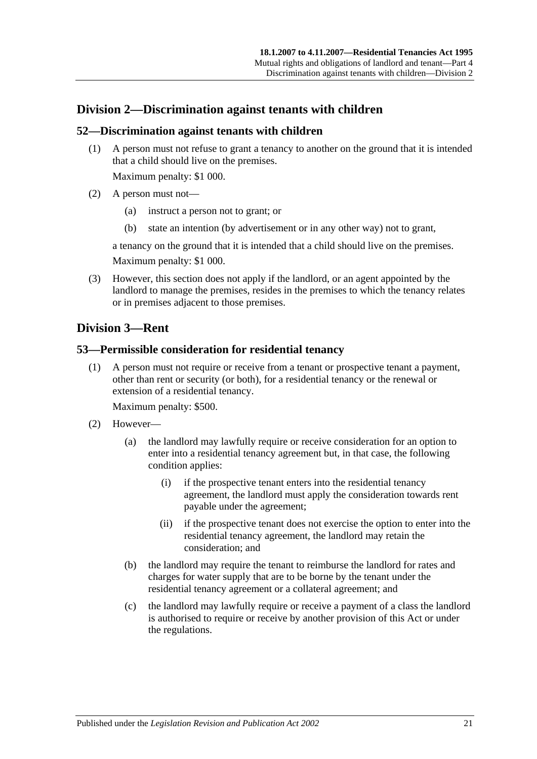## <span id="page-20-0"></span>**Division 2—Discrimination against tenants with children**

### <span id="page-20-1"></span>**52—Discrimination against tenants with children**

(1) A person must not refuse to grant a tenancy to another on the ground that it is intended that a child should live on the premises.

Maximum penalty: \$1 000.

- (2) A person must not—
	- (a) instruct a person not to grant; or
	- (b) state an intention (by advertisement or in any other way) not to grant,

a tenancy on the ground that it is intended that a child should live on the premises. Maximum penalty: \$1 000.

(3) However, this section does not apply if the landlord, or an agent appointed by the landlord to manage the premises, resides in the premises to which the tenancy relates

## <span id="page-20-2"></span>**Division 3—Rent**

### <span id="page-20-3"></span>**53—Permissible consideration for residential tenancy**

or in premises adjacent to those premises.

(1) A person must not require or receive from a tenant or prospective tenant a payment, other than rent or security (or both), for a residential tenancy or the renewal or extension of a residential tenancy.

Maximum penalty: \$500.

- (2) However—
	- (a) the landlord may lawfully require or receive consideration for an option to enter into a residential tenancy agreement but, in that case, the following condition applies:
		- (i) if the prospective tenant enters into the residential tenancy agreement, the landlord must apply the consideration towards rent payable under the agreement;
		- (ii) if the prospective tenant does not exercise the option to enter into the residential tenancy agreement, the landlord may retain the consideration; and
	- (b) the landlord may require the tenant to reimburse the landlord for rates and charges for water supply that are to be borne by the tenant under the residential tenancy agreement or a collateral agreement; and
	- (c) the landlord may lawfully require or receive a payment of a class the landlord is authorised to require or receive by another provision of this Act or under the regulations.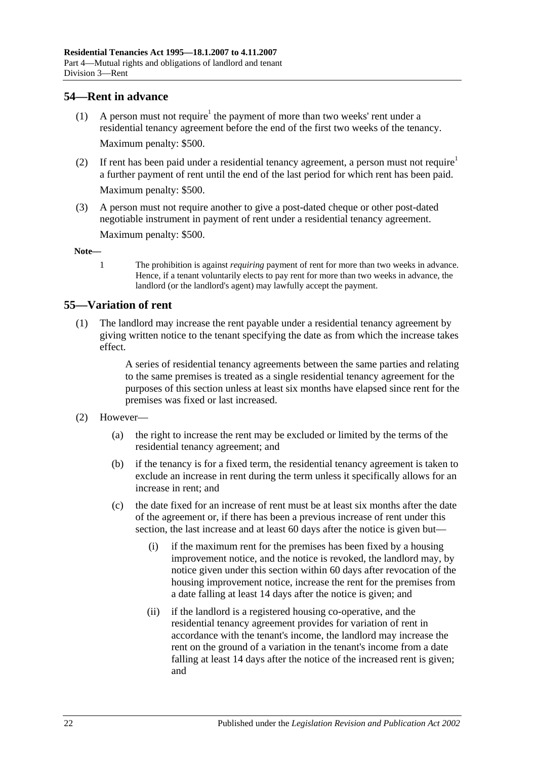## <span id="page-21-0"></span>**54—Rent in advance**

- (1) A person must not require<sup>1</sup> the payment of more than two weeks' rent under a residential tenancy agreement before the end of the first two weeks of the tenancy. Maximum penalty: \$500.
- (2) If rent has been paid under a residential tenancy agreement, a person must not require<sup>1</sup> a further payment of rent until the end of the last period for which rent has been paid. Maximum penalty: \$500.
- (3) A person must not require another to give a post-dated cheque or other post-dated negotiable instrument in payment of rent under a residential tenancy agreement.

Maximum penalty: \$500.

**Note—**

1 The prohibition is against *requiring* payment of rent for more than two weeks in advance. Hence, if a tenant voluntarily elects to pay rent for more than two weeks in advance, the landlord (or the landlord's agent) may lawfully accept the payment.

## <span id="page-21-1"></span>**55—Variation of rent**

(1) The landlord may increase the rent payable under a residential tenancy agreement by giving written notice to the tenant specifying the date as from which the increase takes effect.

> A series of residential tenancy agreements between the same parties and relating to the same premises is treated as a single residential tenancy agreement for the purposes of this section unless at least six months have elapsed since rent for the premises was fixed or last increased.

#### (2) However—

- (a) the right to increase the rent may be excluded or limited by the terms of the residential tenancy agreement; and
- (b) if the tenancy is for a fixed term, the residential tenancy agreement is taken to exclude an increase in rent during the term unless it specifically allows for an increase in rent; and
- (c) the date fixed for an increase of rent must be at least six months after the date of the agreement or, if there has been a previous increase of rent under this section, the last increase and at least 60 days after the notice is given but—
	- (i) if the maximum rent for the premises has been fixed by a housing improvement notice, and the notice is revoked, the landlord may, by notice given under this section within 60 days after revocation of the housing improvement notice, increase the rent for the premises from a date falling at least 14 days after the notice is given; and
	- (ii) if the landlord is a registered housing co-operative, and the residential tenancy agreement provides for variation of rent in accordance with the tenant's income, the landlord may increase the rent on the ground of a variation in the tenant's income from a date falling at least 14 days after the notice of the increased rent is given; and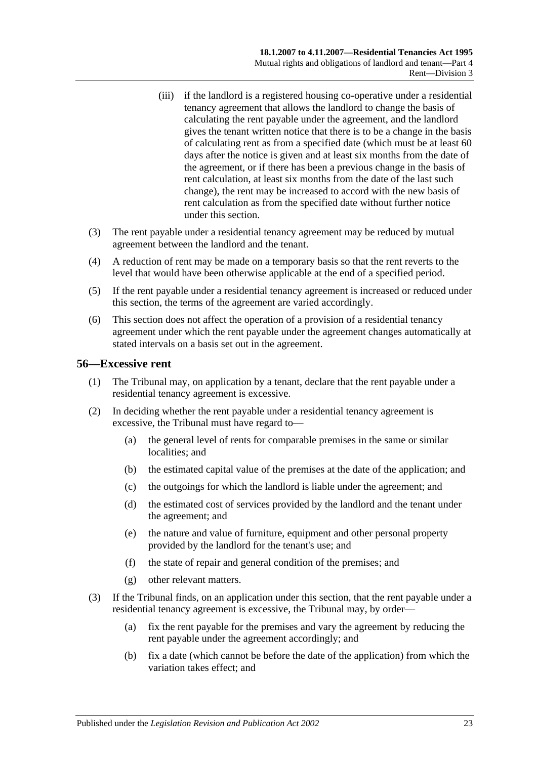- (iii) if the landlord is a registered housing co-operative under a residential tenancy agreement that allows the landlord to change the basis of calculating the rent payable under the agreement, and the landlord gives the tenant written notice that there is to be a change in the basis of calculating rent as from a specified date (which must be at least 60 days after the notice is given and at least six months from the date of the agreement, or if there has been a previous change in the basis of rent calculation, at least six months from the date of the last such change), the rent may be increased to accord with the new basis of rent calculation as from the specified date without further notice under this section.
- (3) The rent payable under a residential tenancy agreement may be reduced by mutual agreement between the landlord and the tenant.
- (4) A reduction of rent may be made on a temporary basis so that the rent reverts to the level that would have been otherwise applicable at the end of a specified period.
- (5) If the rent payable under a residential tenancy agreement is increased or reduced under this section, the terms of the agreement are varied accordingly.
- (6) This section does not affect the operation of a provision of a residential tenancy agreement under which the rent payable under the agreement changes automatically at stated intervals on a basis set out in the agreement.

### <span id="page-22-0"></span>**56—Excessive rent**

- (1) The Tribunal may, on application by a tenant, declare that the rent payable under a residential tenancy agreement is excessive.
- (2) In deciding whether the rent payable under a residential tenancy agreement is excessive, the Tribunal must have regard to—
	- (a) the general level of rents for comparable premises in the same or similar localities; and
	- (b) the estimated capital value of the premises at the date of the application; and
	- (c) the outgoings for which the landlord is liable under the agreement; and
	- (d) the estimated cost of services provided by the landlord and the tenant under the agreement; and
	- (e) the nature and value of furniture, equipment and other personal property provided by the landlord for the tenant's use; and
	- (f) the state of repair and general condition of the premises; and
	- (g) other relevant matters.
- (3) If the Tribunal finds, on an application under this section, that the rent payable under a residential tenancy agreement is excessive, the Tribunal may, by order—
	- (a) fix the rent payable for the premises and vary the agreement by reducing the rent payable under the agreement accordingly; and
	- (b) fix a date (which cannot be before the date of the application) from which the variation takes effect; and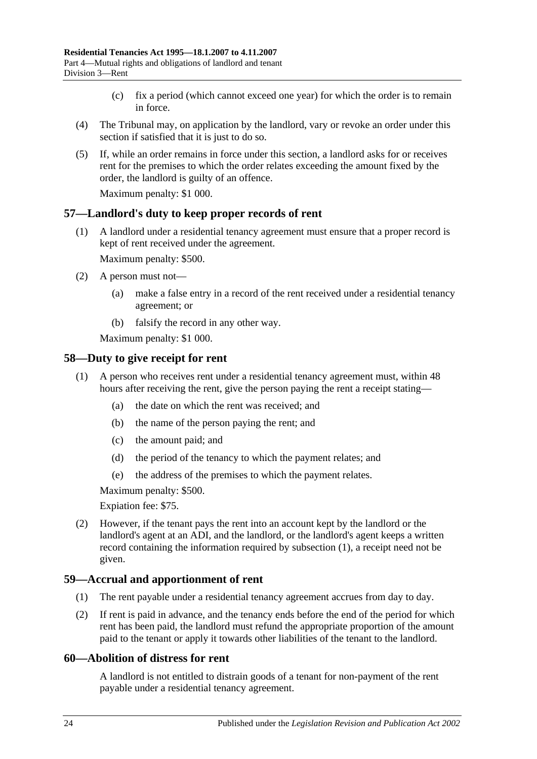- (c) fix a period (which cannot exceed one year) for which the order is to remain in force.
- (4) The Tribunal may, on application by the landlord, vary or revoke an order under this section if satisfied that it is just to do so.
- (5) If, while an order remains in force under this section, a landlord asks for or receives rent for the premises to which the order relates exceeding the amount fixed by the order, the landlord is guilty of an offence.

Maximum penalty: \$1 000.

### <span id="page-23-0"></span>**57—Landlord's duty to keep proper records of rent**

(1) A landlord under a residential tenancy agreement must ensure that a proper record is kept of rent received under the agreement.

Maximum penalty: \$500.

- (2) A person must not—
	- (a) make a false entry in a record of the rent received under a residential tenancy agreement; or
	- (b) falsify the record in any other way.

Maximum penalty: \$1 000.

### <span id="page-23-4"></span><span id="page-23-1"></span>**58—Duty to give receipt for rent**

- (1) A person who receives rent under a residential tenancy agreement must, within 48 hours after receiving the rent, give the person paying the rent a receipt stating—
	- (a) the date on which the rent was received; and
	- (b) the name of the person paying the rent; and
	- (c) the amount paid; and
	- (d) the period of the tenancy to which the payment relates; and
	- (e) the address of the premises to which the payment relates.

Maximum penalty: \$500.

Expiation fee: \$75.

(2) However, if the tenant pays the rent into an account kept by the landlord or the landlord's agent at an ADI, and the landlord, or the landlord's agent keeps a written record containing the information required by [subsection](#page-23-4) (1), a receipt need not be given.

#### <span id="page-23-2"></span>**59—Accrual and apportionment of rent**

- (1) The rent payable under a residential tenancy agreement accrues from day to day.
- (2) If rent is paid in advance, and the tenancy ends before the end of the period for which rent has been paid, the landlord must refund the appropriate proportion of the amount paid to the tenant or apply it towards other liabilities of the tenant to the landlord.

#### <span id="page-23-3"></span>**60—Abolition of distress for rent**

A landlord is not entitled to distrain goods of a tenant for non-payment of the rent payable under a residential tenancy agreement.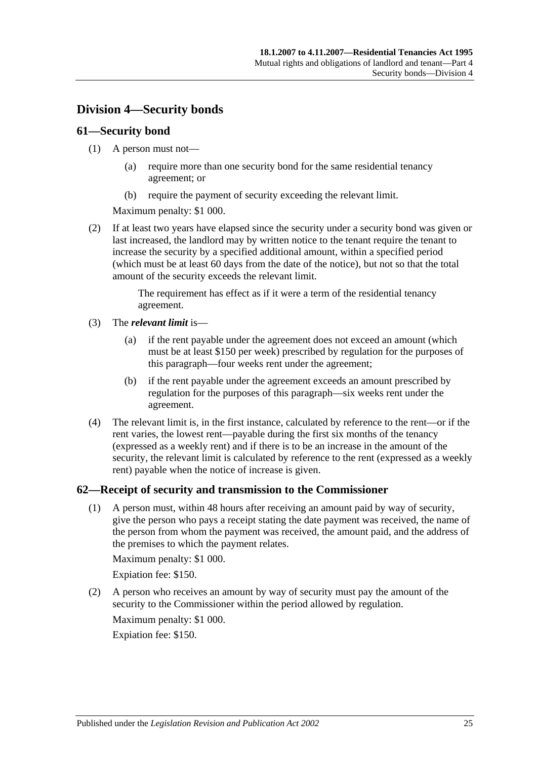## <span id="page-24-0"></span>**Division 4—Security bonds**

### <span id="page-24-1"></span>**61—Security bond**

#### (1) A person must not—

- (a) require more than one security bond for the same residential tenancy agreement; or
- (b) require the payment of security exceeding the relevant limit.

Maximum penalty: \$1 000.

(2) If at least two years have elapsed since the security under a security bond was given or last increased, the landlord may by written notice to the tenant require the tenant to increase the security by a specified additional amount, within a specified period (which must be at least 60 days from the date of the notice), but not so that the total amount of the security exceeds the relevant limit.

> The requirement has effect as if it were a term of the residential tenancy agreement.

- (3) The *relevant limit* is—
	- (a) if the rent payable under the agreement does not exceed an amount (which must be at least \$150 per week) prescribed by regulation for the purposes of this paragraph—four weeks rent under the agreement;
	- (b) if the rent payable under the agreement exceeds an amount prescribed by regulation for the purposes of this paragraph—six weeks rent under the agreement.
- (4) The relevant limit is, in the first instance, calculated by reference to the rent—or if the rent varies, the lowest rent—payable during the first six months of the tenancy (expressed as a weekly rent) and if there is to be an increase in the amount of the security, the relevant limit is calculated by reference to the rent (expressed as a weekly rent) payable when the notice of increase is given.

### <span id="page-24-2"></span>**62—Receipt of security and transmission to the Commissioner**

(1) A person must, within 48 hours after receiving an amount paid by way of security, give the person who pays a receipt stating the date payment was received, the name of the person from whom the payment was received, the amount paid, and the address of the premises to which the payment relates.

Maximum penalty: \$1 000.

Expiation fee: \$150.

(2) A person who receives an amount by way of security must pay the amount of the security to the Commissioner within the period allowed by regulation.

Maximum penalty: \$1 000. Expiation fee: \$150.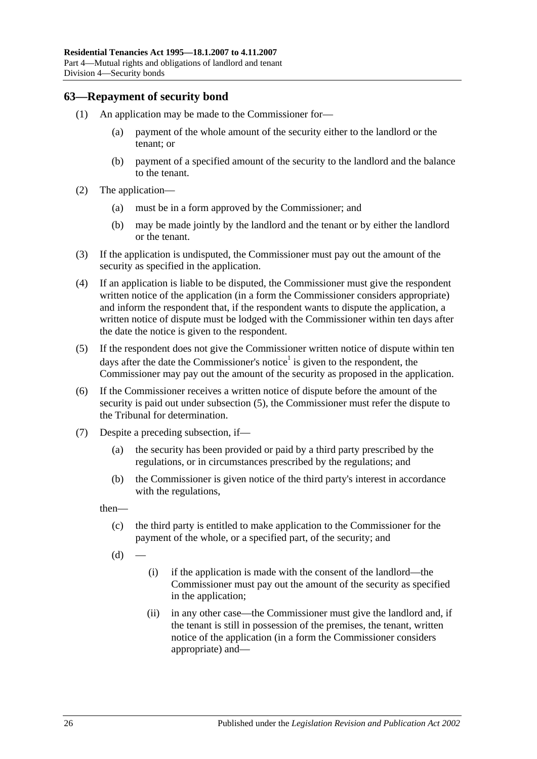### <span id="page-25-0"></span>**63—Repayment of security bond**

- (1) An application may be made to the Commissioner for—
	- (a) payment of the whole amount of the security either to the landlord or the tenant; or
	- (b) payment of a specified amount of the security to the landlord and the balance to the tenant.
- (2) The application—
	- (a) must be in a form approved by the Commissioner; and
	- (b) may be made jointly by the landlord and the tenant or by either the landlord or the tenant.
- (3) If the application is undisputed, the Commissioner must pay out the amount of the security as specified in the application.
- <span id="page-25-3"></span>(4) If an application is liable to be disputed, the Commissioner must give the respondent written notice of the application (in a form the Commissioner considers appropriate) and inform the respondent that, if the respondent wants to dispute the application, a written notice of dispute must be lodged with the Commissioner within ten days after the date the notice is given to the respondent.
- <span id="page-25-1"></span>(5) If the respondent does not give the Commissioner written notice of dispute within ten days after the date the Commissioner's notice<sup>1</sup> is given to the respondent, the Commissioner may pay out the amount of the security as proposed in the application.
- (6) If the Commissioner receives a written notice of dispute before the amount of the security is paid out under [subsection](#page-25-1) (5), the Commissioner must refer the dispute to the Tribunal for determination.
- <span id="page-25-2"></span>(7) Despite a preceding subsection, if—
	- (a) the security has been provided or paid by a third party prescribed by the regulations, or in circumstances prescribed by the regulations; and
	- (b) the Commissioner is given notice of the third party's interest in accordance with the regulations,

then—

- (c) the third party is entitled to make application to the Commissioner for the payment of the whole, or a specified part, of the security; and
- $(d)$
- (i) if the application is made with the consent of the landlord—the Commissioner must pay out the amount of the security as specified in the application;
- (ii) in any other case—the Commissioner must give the landlord and, if the tenant is still in possession of the premises, the tenant, written notice of the application (in a form the Commissioner considers appropriate) and—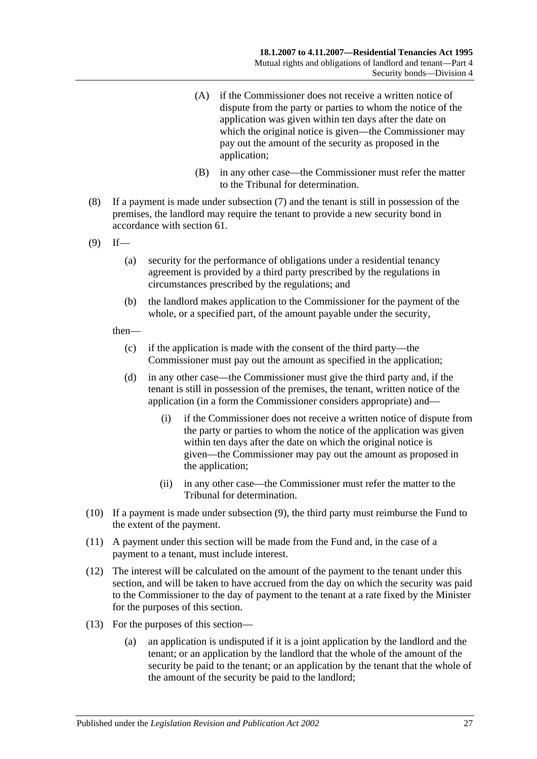- (A) if the Commissioner does not receive a written notice of dispute from the party or parties to whom the notice of the application was given within ten days after the date on which the original notice is given—the Commissioner may pay out the amount of the security as proposed in the application;
- (B) in any other case—the Commissioner must refer the matter to the Tribunal for determination.
- (8) If a payment is made under [subsection](#page-25-2) (7) and the tenant is still in possession of the premises, the landlord may require the tenant to provide a new security bond in accordance with [section](#page-24-1) 61.
- <span id="page-26-0"></span> $(9)$  If—
	- (a) security for the performance of obligations under a residential tenancy agreement is provided by a third party prescribed by the regulations in circumstances prescribed by the regulations; and
	- (b) the landlord makes application to the Commissioner for the payment of the whole, or a specified part, of the amount payable under the security,

#### then—

- (c) if the application is made with the consent of the third party—the Commissioner must pay out the amount as specified in the application;
- (d) in any other case—the Commissioner must give the third party and, if the tenant is still in possession of the premises, the tenant, written notice of the application (in a form the Commissioner considers appropriate) and—
	- (i) if the Commissioner does not receive a written notice of dispute from the party or parties to whom the notice of the application was given within ten days after the date on which the original notice is given—the Commissioner may pay out the amount as proposed in the application;
	- (ii) in any other case—the Commissioner must refer the matter to the Tribunal for determination.
- (10) If a payment is made under [subsection](#page-26-0) (9), the third party must reimburse the Fund to the extent of the payment.
- (11) A payment under this section will be made from the Fund and, in the case of a payment to a tenant, must include interest.
- (12) The interest will be calculated on the amount of the payment to the tenant under this section, and will be taken to have accrued from the day on which the security was paid to the Commissioner to the day of payment to the tenant at a rate fixed by the Minister for the purposes of this section.
- (13) For the purposes of this section—
	- (a) an application is undisputed if it is a joint application by the landlord and the tenant; or an application by the landlord that the whole of the amount of the security be paid to the tenant; or an application by the tenant that the whole of the amount of the security be paid to the landlord;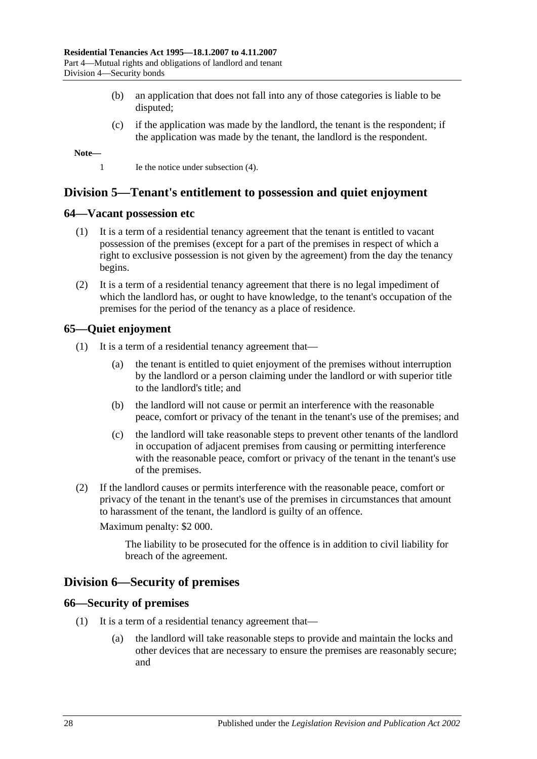- (b) an application that does not fall into any of those categories is liable to be disputed;
- (c) if the application was made by the landlord, the tenant is the respondent; if the application was made by the tenant, the landlord is the respondent.

**Note—**

1 Ie the notice under [subsection](#page-25-3) (4).

## <span id="page-27-0"></span>**Division 5—Tenant's entitlement to possession and quiet enjoyment**

#### <span id="page-27-1"></span>**64—Vacant possession etc**

- (1) It is a term of a residential tenancy agreement that the tenant is entitled to vacant possession of the premises (except for a part of the premises in respect of which a right to exclusive possession is not given by the agreement) from the day the tenancy begins.
- (2) It is a term of a residential tenancy agreement that there is no legal impediment of which the landlord has, or ought to have knowledge, to the tenant's occupation of the premises for the period of the tenancy as a place of residence.

### <span id="page-27-2"></span>**65—Quiet enjoyment**

- (1) It is a term of a residential tenancy agreement that—
	- (a) the tenant is entitled to quiet enjoyment of the premises without interruption by the landlord or a person claiming under the landlord or with superior title to the landlord's title; and
	- (b) the landlord will not cause or permit an interference with the reasonable peace, comfort or privacy of the tenant in the tenant's use of the premises; and
	- (c) the landlord will take reasonable steps to prevent other tenants of the landlord in occupation of adjacent premises from causing or permitting interference with the reasonable peace, comfort or privacy of the tenant in the tenant's use of the premises.
- (2) If the landlord causes or permits interference with the reasonable peace, comfort or privacy of the tenant in the tenant's use of the premises in circumstances that amount to harassment of the tenant, the landlord is guilty of an offence.

Maximum penalty: \$2 000.

The liability to be prosecuted for the offence is in addition to civil liability for breach of the agreement.

### <span id="page-27-3"></span>**Division 6—Security of premises**

#### <span id="page-27-4"></span>**66—Security of premises**

- (1) It is a term of a residential tenancy agreement that—
	- (a) the landlord will take reasonable steps to provide and maintain the locks and other devices that are necessary to ensure the premises are reasonably secure; and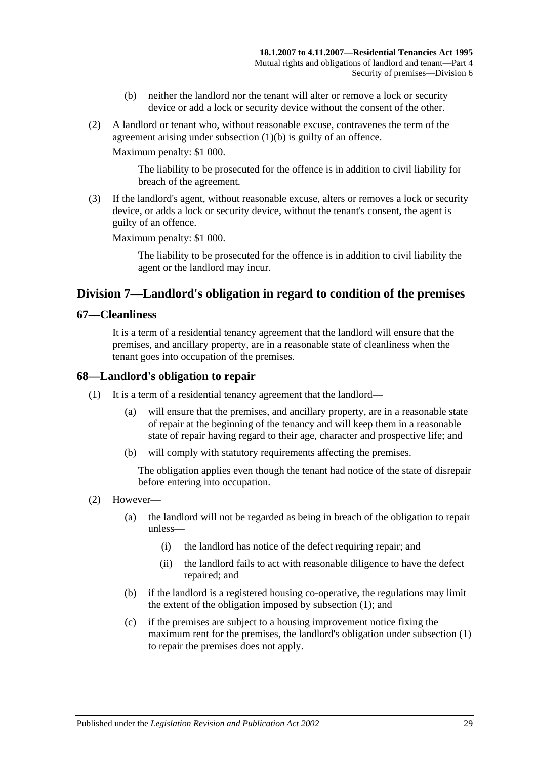- (b) neither the landlord nor the tenant will alter or remove a lock or security device or add a lock or security device without the consent of the other.
- <span id="page-28-3"></span>(2) A landlord or tenant who, without reasonable excuse, contravenes the term of the agreement arising under [subsection](#page-28-3) (1)(b) is guilty of an offence.

Maximum penalty: \$1 000.

The liability to be prosecuted for the offence is in addition to civil liability for breach of the agreement.

(3) If the landlord's agent, without reasonable excuse, alters or removes a lock or security device, or adds a lock or security device, without the tenant's consent, the agent is guilty of an offence.

Maximum penalty: \$1 000.

The liability to be prosecuted for the offence is in addition to civil liability the agent or the landlord may incur.

## <span id="page-28-0"></span>**Division 7—Landlord's obligation in regard to condition of the premises**

#### <span id="page-28-1"></span>**67—Cleanliness**

It is a term of a residential tenancy agreement that the landlord will ensure that the premises, and ancillary property, are in a reasonable state of cleanliness when the tenant goes into occupation of the premises.

### <span id="page-28-4"></span><span id="page-28-2"></span>**68—Landlord's obligation to repair**

- (1) It is a term of a residential tenancy agreement that the landlord—
	- (a) will ensure that the premises, and ancillary property, are in a reasonable state of repair at the beginning of the tenancy and will keep them in a reasonable state of repair having regard to their age, character and prospective life; and
	- (b) will comply with statutory requirements affecting the premises.

The obligation applies even though the tenant had notice of the state of disrepair before entering into occupation.

- (2) However—
	- (a) the landlord will not be regarded as being in breach of the obligation to repair unless—
		- (i) the landlord has notice of the defect requiring repair; and
		- (ii) the landlord fails to act with reasonable diligence to have the defect repaired; and
	- (b) if the landlord is a registered housing co-operative, the regulations may limit the extent of the obligation imposed by [subsection](#page-28-4) (1); and
	- (c) if the premises are subject to a housing improvement notice fixing the maximum rent for the premises, the landlord's obligation under [subsection](#page-28-4) (1) to repair the premises does not apply.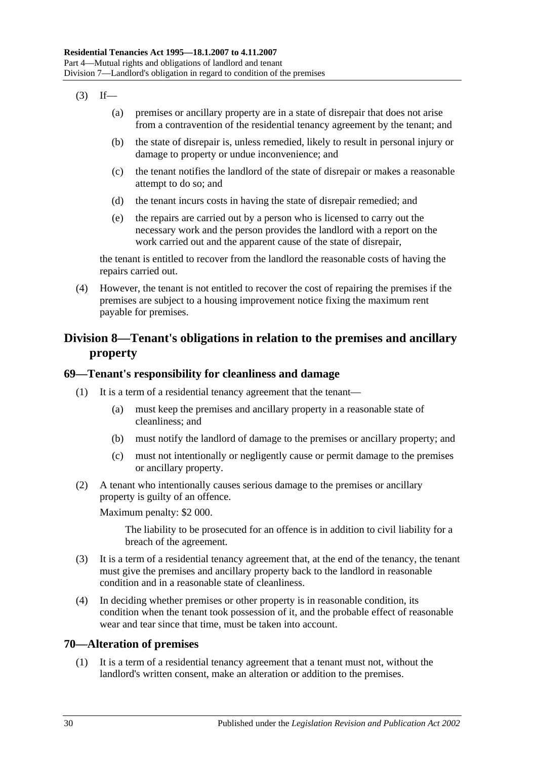- $(3)$  If—
	- (a) premises or ancillary property are in a state of disrepair that does not arise from a contravention of the residential tenancy agreement by the tenant; and
	- (b) the state of disrepair is, unless remedied, likely to result in personal injury or damage to property or undue inconvenience; and
	- (c) the tenant notifies the landlord of the state of disrepair or makes a reasonable attempt to do so; and
	- (d) the tenant incurs costs in having the state of disrepair remedied; and
	- (e) the repairs are carried out by a person who is licensed to carry out the necessary work and the person provides the landlord with a report on the work carried out and the apparent cause of the state of disrepair,

the tenant is entitled to recover from the landlord the reasonable costs of having the repairs carried out.

(4) However, the tenant is not entitled to recover the cost of repairing the premises if the premises are subject to a housing improvement notice fixing the maximum rent payable for premises.

## <span id="page-29-0"></span>**Division 8—Tenant's obligations in relation to the premises and ancillary property**

## <span id="page-29-1"></span>**69—Tenant's responsibility for cleanliness and damage**

- (1) It is a term of a residential tenancy agreement that the tenant—
	- (a) must keep the premises and ancillary property in a reasonable state of cleanliness; and
	- (b) must notify the landlord of damage to the premises or ancillary property; and
	- (c) must not intentionally or negligently cause or permit damage to the premises or ancillary property.
- (2) A tenant who intentionally causes serious damage to the premises or ancillary property is guilty of an offence.

Maximum penalty: \$2 000.

The liability to be prosecuted for an offence is in addition to civil liability for a breach of the agreement.

- (3) It is a term of a residential tenancy agreement that, at the end of the tenancy, the tenant must give the premises and ancillary property back to the landlord in reasonable condition and in a reasonable state of cleanliness.
- (4) In deciding whether premises or other property is in reasonable condition, its condition when the tenant took possession of it, and the probable effect of reasonable wear and tear since that time, must be taken into account.

## <span id="page-29-2"></span>**70—Alteration of premises**

(1) It is a term of a residential tenancy agreement that a tenant must not, without the landlord's written consent, make an alteration or addition to the premises.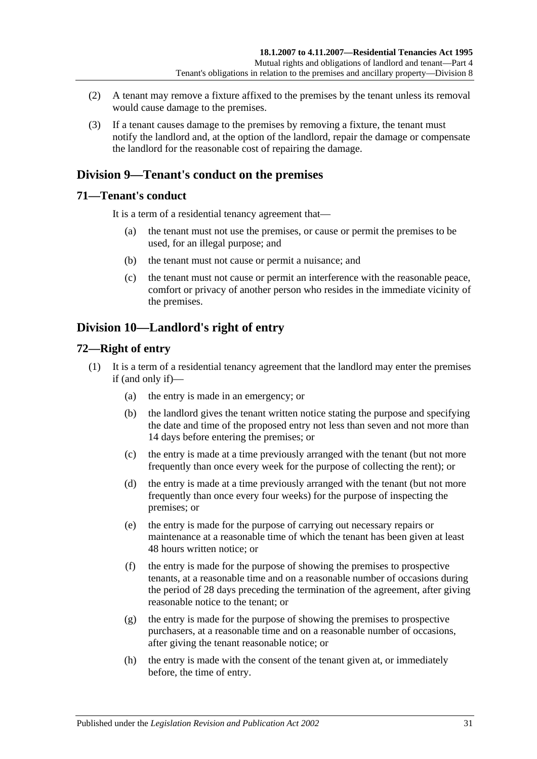- (2) A tenant may remove a fixture affixed to the premises by the tenant unless its removal would cause damage to the premises.
- (3) If a tenant causes damage to the premises by removing a fixture, the tenant must notify the landlord and, at the option of the landlord, repair the damage or compensate the landlord for the reasonable cost of repairing the damage.

## <span id="page-30-0"></span>**Division 9—Tenant's conduct on the premises**

### <span id="page-30-1"></span>**71—Tenant's conduct**

It is a term of a residential tenancy agreement that—

- (a) the tenant must not use the premises, or cause or permit the premises to be used, for an illegal purpose; and
- (b) the tenant must not cause or permit a nuisance; and
- (c) the tenant must not cause or permit an interference with the reasonable peace, comfort or privacy of another person who resides in the immediate vicinity of the premises.

## <span id="page-30-2"></span>**Division 10—Landlord's right of entry**

### <span id="page-30-3"></span>**72—Right of entry**

- (1) It is a term of a residential tenancy agreement that the landlord may enter the premises if (and only if)—
	- (a) the entry is made in an emergency; or
	- (b) the landlord gives the tenant written notice stating the purpose and specifying the date and time of the proposed entry not less than seven and not more than 14 days before entering the premises; or
	- (c) the entry is made at a time previously arranged with the tenant (but not more frequently than once every week for the purpose of collecting the rent); or
	- (d) the entry is made at a time previously arranged with the tenant (but not more frequently than once every four weeks) for the purpose of inspecting the premises; or
	- (e) the entry is made for the purpose of carrying out necessary repairs or maintenance at a reasonable time of which the tenant has been given at least 48 hours written notice; or
	- (f) the entry is made for the purpose of showing the premises to prospective tenants, at a reasonable time and on a reasonable number of occasions during the period of 28 days preceding the termination of the agreement, after giving reasonable notice to the tenant; or
	- (g) the entry is made for the purpose of showing the premises to prospective purchasers, at a reasonable time and on a reasonable number of occasions, after giving the tenant reasonable notice; or
	- (h) the entry is made with the consent of the tenant given at, or immediately before, the time of entry.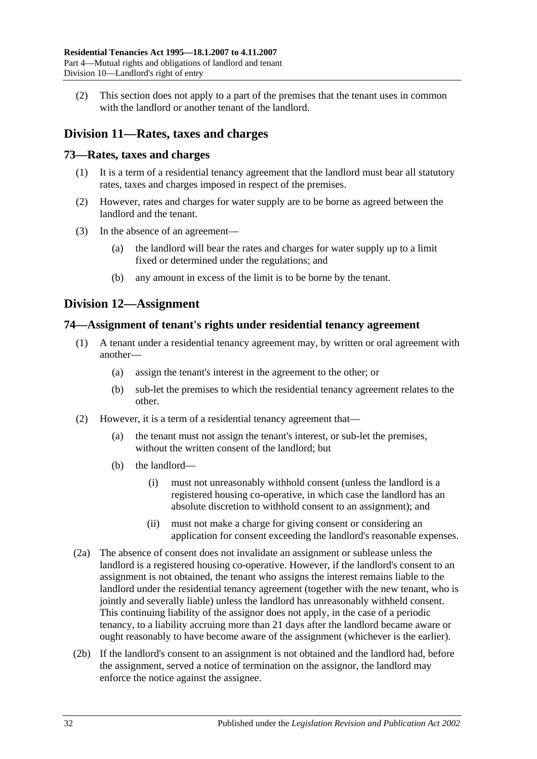(2) This section does not apply to a part of the premises that the tenant uses in common with the landlord or another tenant of the landlord.

## <span id="page-31-0"></span>**Division 11—Rates, taxes and charges**

### <span id="page-31-1"></span>**73—Rates, taxes and charges**

- (1) It is a term of a residential tenancy agreement that the landlord must bear all statutory rates, taxes and charges imposed in respect of the premises.
- (2) However, rates and charges for water supply are to be borne as agreed between the landlord and the tenant.
- (3) In the absence of an agreement—
	- (a) the landlord will bear the rates and charges for water supply up to a limit fixed or determined under the regulations; and
	- (b) any amount in excess of the limit is to be borne by the tenant.

## <span id="page-31-2"></span>**Division 12—Assignment**

### <span id="page-31-3"></span>**74—Assignment of tenant's rights under residential tenancy agreement**

- (1) A tenant under a residential tenancy agreement may, by written or oral agreement with another—
	- (a) assign the tenant's interest in the agreement to the other; or
	- (b) sub-let the premises to which the residential tenancy agreement relates to the other.
- (2) However, it is a term of a residential tenancy agreement that—
	- (a) the tenant must not assign the tenant's interest, or sub-let the premises, without the written consent of the landlord; but
	- (b) the landlord—
		- (i) must not unreasonably withhold consent (unless the landlord is a registered housing co-operative, in which case the landlord has an absolute discretion to withhold consent to an assignment); and
		- (ii) must not make a charge for giving consent or considering an application for consent exceeding the landlord's reasonable expenses.
- (2a) The absence of consent does not invalidate an assignment or sublease unless the landlord is a registered housing co-operative. However, if the landlord's consent to an assignment is not obtained, the tenant who assigns the interest remains liable to the landlord under the residential tenancy agreement (together with the new tenant, who is jointly and severally liable) unless the landlord has unreasonably withheld consent. This continuing liability of the assignor does not apply, in the case of a periodic tenancy, to a liability accruing more than 21 days after the landlord became aware or ought reasonably to have become aware of the assignment (whichever is the earlier).
- (2b) If the landlord's consent to an assignment is not obtained and the landlord had, before the assignment, served a notice of termination on the assignor, the landlord may enforce the notice against the assignee.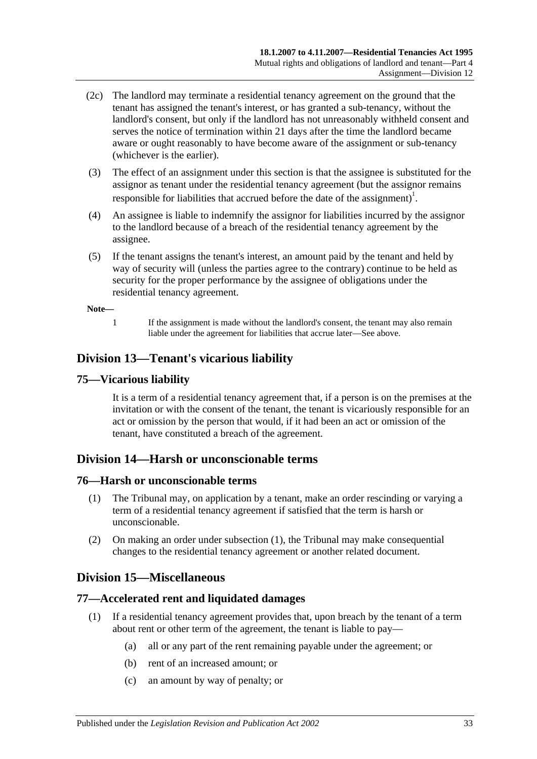- (2c) The landlord may terminate a residential tenancy agreement on the ground that the tenant has assigned the tenant's interest, or has granted a sub-tenancy, without the landlord's consent, but only if the landlord has not unreasonably withheld consent and serves the notice of termination within 21 days after the time the landlord became aware or ought reasonably to have become aware of the assignment or sub-tenancy (whichever is the earlier).
- (3) The effect of an assignment under this section is that the assignee is substituted for the assignor as tenant under the residential tenancy agreement (but the assignor remains responsible for liabilities that accrued before the date of the assignment)<sup>1</sup>.
- (4) An assignee is liable to indemnify the assignor for liabilities incurred by the assignor to the landlord because of a breach of the residential tenancy agreement by the assignee.
- (5) If the tenant assigns the tenant's interest, an amount paid by the tenant and held by way of security will (unless the parties agree to the contrary) continue to be held as security for the proper performance by the assignee of obligations under the residential tenancy agreement.

#### **Note—**

1 If the assignment is made without the landlord's consent, the tenant may also remain liable under the agreement for liabilities that accrue later—See above.

## <span id="page-32-0"></span>**Division 13—Tenant's vicarious liability**

### <span id="page-32-1"></span>**75—Vicarious liability**

It is a term of a residential tenancy agreement that, if a person is on the premises at the invitation or with the consent of the tenant, the tenant is vicariously responsible for an act or omission by the person that would, if it had been an act or omission of the tenant, have constituted a breach of the agreement.

## <span id="page-32-2"></span>**Division 14—Harsh or unconscionable terms**

#### <span id="page-32-6"></span><span id="page-32-3"></span>**76—Harsh or unconscionable terms**

- (1) The Tribunal may, on application by a tenant, make an order rescinding or varying a term of a residential tenancy agreement if satisfied that the term is harsh or unconscionable.
- (2) On making an order under [subsection](#page-32-6) (1), the Tribunal may make consequential changes to the residential tenancy agreement or another related document.

## <span id="page-32-4"></span>**Division 15—Miscellaneous**

### <span id="page-32-5"></span>**77—Accelerated rent and liquidated damages**

- (1) If a residential tenancy agreement provides that, upon breach by the tenant of a term about rent or other term of the agreement, the tenant is liable to pay—
	- (a) all or any part of the rent remaining payable under the agreement; or
	- (b) rent of an increased amount; or
	- (c) an amount by way of penalty; or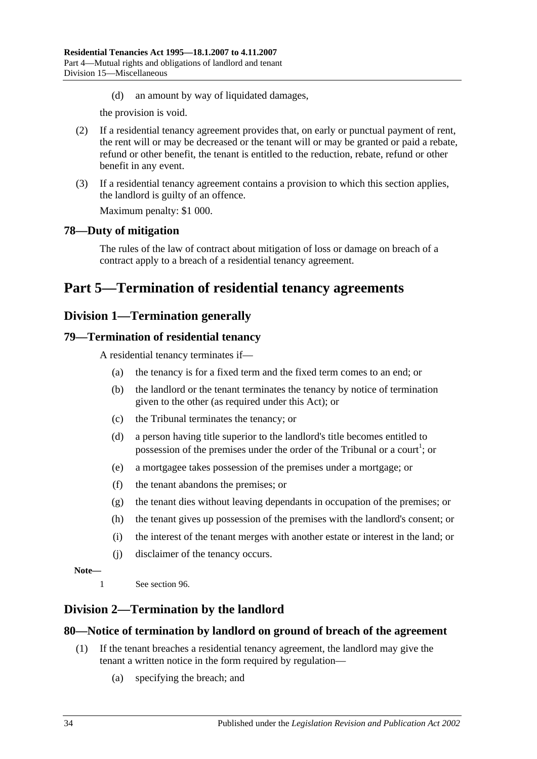(d) an amount by way of liquidated damages,

the provision is void.

- (2) If a residential tenancy agreement provides that, on early or punctual payment of rent, the rent will or may be decreased or the tenant will or may be granted or paid a rebate, refund or other benefit, the tenant is entitled to the reduction, rebate, refund or other benefit in any event.
- (3) If a residential tenancy agreement contains a provision to which this section applies, the landlord is guilty of an offence.

Maximum penalty: \$1 000.

## <span id="page-33-0"></span>**78—Duty of mitigation**

The rules of the law of contract about mitigation of loss or damage on breach of a contract apply to a breach of a residential tenancy agreement.

# <span id="page-33-2"></span><span id="page-33-1"></span>**Part 5—Termination of residential tenancy agreements**

## **Division 1—Termination generally**

## <span id="page-33-3"></span>**79—Termination of residential tenancy**

A residential tenancy terminates if—

- (a) the tenancy is for a fixed term and the fixed term comes to an end; or
- (b) the landlord or the tenant terminates the tenancy by notice of termination given to the other (as required under this Act); or
- (c) the Tribunal terminates the tenancy; or
- (d) a person having title superior to the landlord's title becomes entitled to possession of the premises under the order of the Tribunal or a court<sup>1</sup>; or
- (e) a mortgagee takes possession of the premises under a mortgage; or
- (f) the tenant abandons the premises; or
- (g) the tenant dies without leaving dependants in occupation of the premises; or
- (h) the tenant gives up possession of the premises with the landlord's consent; or
- (i) the interest of the tenant merges with another estate or interest in the land; or
- (j) disclaimer of the tenancy occurs.

#### **Note—**

1 See [section](#page-41-0) 96.

## <span id="page-33-4"></span>**Division 2—Termination by the landlord**

### <span id="page-33-5"></span>**80—Notice of termination by landlord on ground of breach of the agreement**

- (1) If the tenant breaches a residential tenancy agreement, the landlord may give the tenant a written notice in the form required by regulation—
	- (a) specifying the breach; and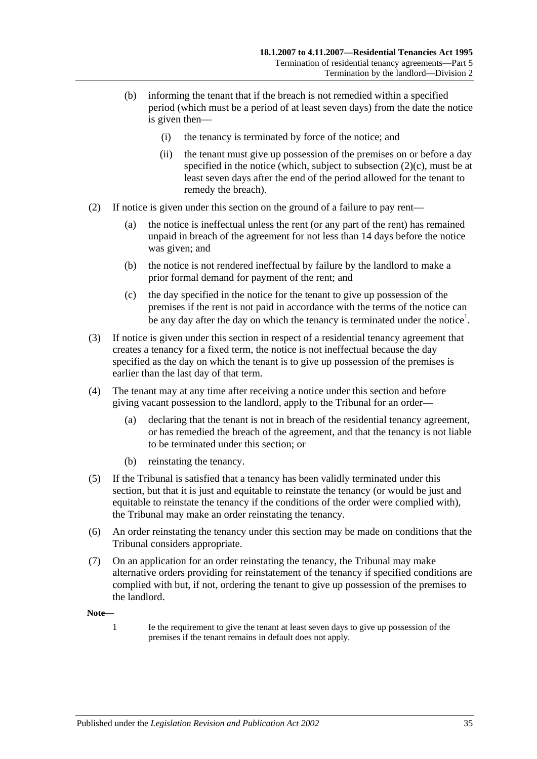- (b) informing the tenant that if the breach is not remedied within a specified period (which must be a period of at least seven days) from the date the notice is given then—
	- (i) the tenancy is terminated by force of the notice; and
	- (ii) the tenant must give up possession of the premises on or before a day specified in the notice (which, subject to [subsection](#page-34-0)  $(2)(c)$ , must be at least seven days after the end of the period allowed for the tenant to remedy the breach).
- (2) If notice is given under this section on the ground of a failure to pay rent—
	- (a) the notice is ineffectual unless the rent (or any part of the rent) has remained unpaid in breach of the agreement for not less than 14 days before the notice was given; and
	- (b) the notice is not rendered ineffectual by failure by the landlord to make a prior formal demand for payment of the rent; and
	- (c) the day specified in the notice for the tenant to give up possession of the premises if the rent is not paid in accordance with the terms of the notice can be any day after the day on which the tenancy is terminated under the notice<sup>1</sup>.
- <span id="page-34-0"></span>(3) If notice is given under this section in respect of a residential tenancy agreement that creates a tenancy for a fixed term, the notice is not ineffectual because the day specified as the day on which the tenant is to give up possession of the premises is earlier than the last day of that term.
- (4) The tenant may at any time after receiving a notice under this section and before giving vacant possession to the landlord, apply to the Tribunal for an order—
	- (a) declaring that the tenant is not in breach of the residential tenancy agreement, or has remedied the breach of the agreement, and that the tenancy is not liable to be terminated under this section; or
	- (b) reinstating the tenancy.
- (5) If the Tribunal is satisfied that a tenancy has been validly terminated under this section, but that it is just and equitable to reinstate the tenancy (or would be just and equitable to reinstate the tenancy if the conditions of the order were complied with), the Tribunal may make an order reinstating the tenancy.
- (6) An order reinstating the tenancy under this section may be made on conditions that the Tribunal considers appropriate.
- (7) On an application for an order reinstating the tenancy, the Tribunal may make alternative orders providing for reinstatement of the tenancy if specified conditions are complied with but, if not, ordering the tenant to give up possession of the premises to the landlord.

**Note—**

1 Ie the requirement to give the tenant at least seven days to give up possession of the premises if the tenant remains in default does not apply.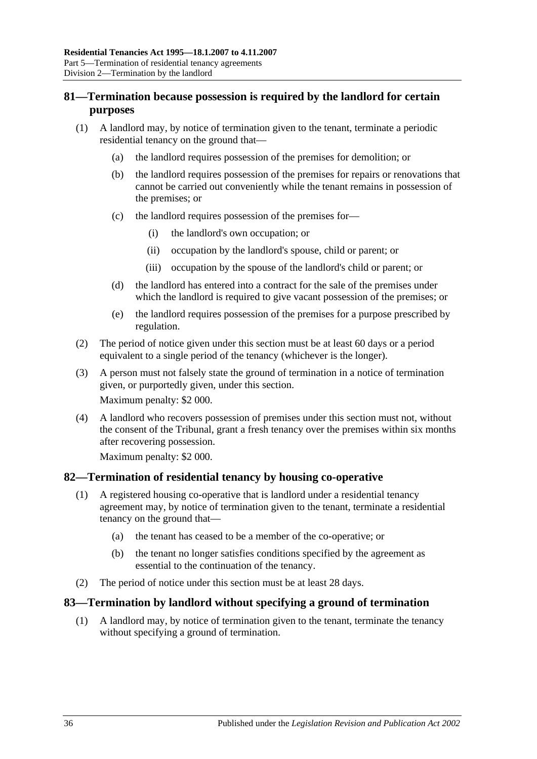## <span id="page-35-0"></span>**81—Termination because possession is required by the landlord for certain purposes**

- (1) A landlord may, by notice of termination given to the tenant, terminate a periodic residential tenancy on the ground that—
	- (a) the landlord requires possession of the premises for demolition; or
	- (b) the landlord requires possession of the premises for repairs or renovations that cannot be carried out conveniently while the tenant remains in possession of the premises; or
	- (c) the landlord requires possession of the premises for—
		- (i) the landlord's own occupation; or
		- (ii) occupation by the landlord's spouse, child or parent; or
		- (iii) occupation by the spouse of the landlord's child or parent; or
	- (d) the landlord has entered into a contract for the sale of the premises under which the landlord is required to give vacant possession of the premises; or
	- (e) the landlord requires possession of the premises for a purpose prescribed by regulation.
- (2) The period of notice given under this section must be at least 60 days or a period equivalent to a single period of the tenancy (whichever is the longer).
- (3) A person must not falsely state the ground of termination in a notice of termination given, or purportedly given, under this section. Maximum penalty: \$2 000.
- (4) A landlord who recovers possession of premises under this section must not, without the consent of the Tribunal, grant a fresh tenancy over the premises within six months after recovering possession.

Maximum penalty: \$2 000.

#### <span id="page-35-1"></span>**82—Termination of residential tenancy by housing co-operative**

- (1) A registered housing co-operative that is landlord under a residential tenancy agreement may, by notice of termination given to the tenant, terminate a residential tenancy on the ground that—
	- (a) the tenant has ceased to be a member of the co-operative; or
	- (b) the tenant no longer satisfies conditions specified by the agreement as essential to the continuation of the tenancy.
- (2) The period of notice under this section must be at least 28 days.

#### <span id="page-35-2"></span>**83—Termination by landlord without specifying a ground of termination**

(1) A landlord may, by notice of termination given to the tenant, terminate the tenancy without specifying a ground of termination.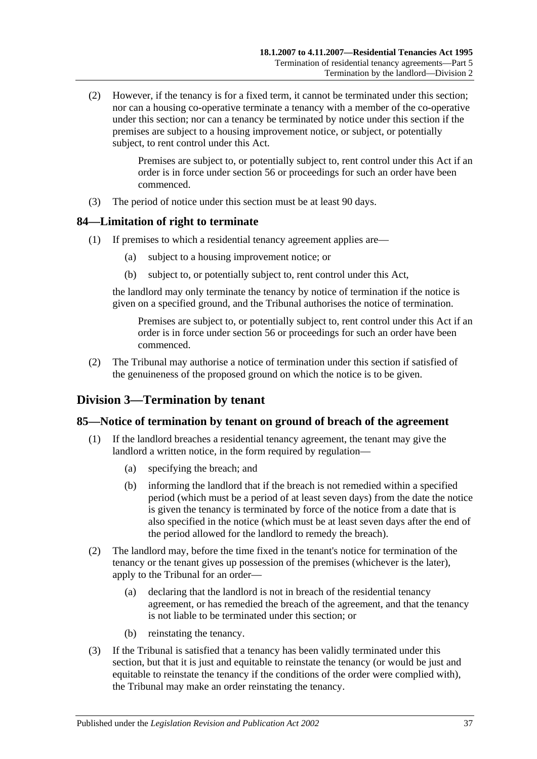(2) However, if the tenancy is for a fixed term, it cannot be terminated under this section; nor can a housing co-operative terminate a tenancy with a member of the co-operative under this section; nor can a tenancy be terminated by notice under this section if the premises are subject to a housing improvement notice, or subject, or potentially subject, to rent control under this Act.

> Premises are subject to, or potentially subject to, rent control under this Act if an order is in force under section 56 or proceedings for such an order have been commenced.

(3) The period of notice under this section must be at least 90 days.

### <span id="page-36-0"></span>**84—Limitation of right to terminate**

- (1) If premises to which a residential tenancy agreement applies are—
	- (a) subject to a housing improvement notice; or
	- (b) subject to, or potentially subject to, rent control under this Act,

the landlord may only terminate the tenancy by notice of termination if the notice is given on a specified ground, and the Tribunal authorises the notice of termination.

Premises are subject to, or potentially subject to, rent control under this Act if an order is in force under section 56 or proceedings for such an order have been commenced.

(2) The Tribunal may authorise a notice of termination under this section if satisfied of the genuineness of the proposed ground on which the notice is to be given.

## <span id="page-36-1"></span>**Division 3—Termination by tenant**

#### <span id="page-36-2"></span>**85—Notice of termination by tenant on ground of breach of the agreement**

- (1) If the landlord breaches a residential tenancy agreement, the tenant may give the landlord a written notice, in the form required by regulation—
	- (a) specifying the breach; and
	- (b) informing the landlord that if the breach is not remedied within a specified period (which must be a period of at least seven days) from the date the notice is given the tenancy is terminated by force of the notice from a date that is also specified in the notice (which must be at least seven days after the end of the period allowed for the landlord to remedy the breach).
- (2) The landlord may, before the time fixed in the tenant's notice for termination of the tenancy or the tenant gives up possession of the premises (whichever is the later), apply to the Tribunal for an order—
	- (a) declaring that the landlord is not in breach of the residential tenancy agreement, or has remedied the breach of the agreement, and that the tenancy is not liable to be terminated under this section; or
	- (b) reinstating the tenancy.
- (3) If the Tribunal is satisfied that a tenancy has been validly terminated under this section, but that it is just and equitable to reinstate the tenancy (or would be just and equitable to reinstate the tenancy if the conditions of the order were complied with), the Tribunal may make an order reinstating the tenancy.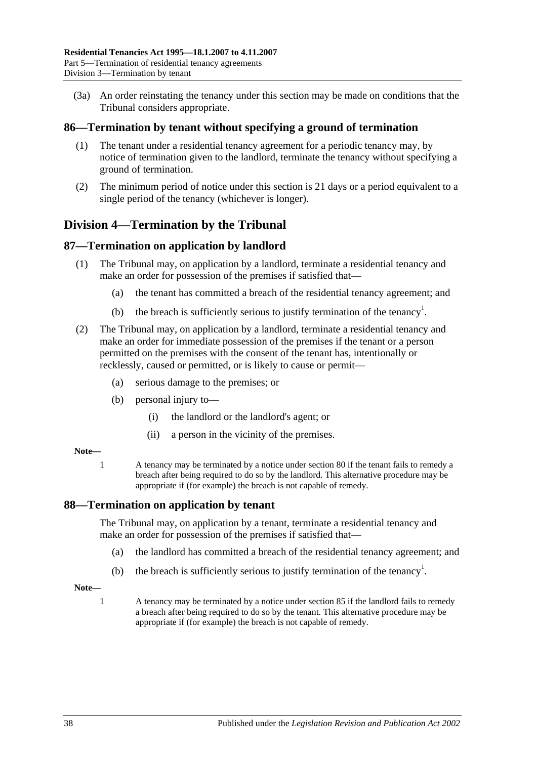(3a) An order reinstating the tenancy under this section may be made on conditions that the Tribunal considers appropriate.

### <span id="page-37-0"></span>**86—Termination by tenant without specifying a ground of termination**

- (1) The tenant under a residential tenancy agreement for a periodic tenancy may, by notice of termination given to the landlord, terminate the tenancy without specifying a ground of termination.
- (2) The minimum period of notice under this section is 21 days or a period equivalent to a single period of the tenancy (whichever is longer).

## <span id="page-37-1"></span>**Division 4—Termination by the Tribunal**

### <span id="page-37-2"></span>**87—Termination on application by landlord**

- (1) The Tribunal may, on application by a landlord, terminate a residential tenancy and make an order for possession of the premises if satisfied that—
	- (a) the tenant has committed a breach of the residential tenancy agreement; and
	- (b) the breach is sufficiently serious to justify termination of the tenancy<sup>1</sup>.
- (2) The Tribunal may, on application by a landlord, terminate a residential tenancy and make an order for immediate possession of the premises if the tenant or a person permitted on the premises with the consent of the tenant has, intentionally or recklessly, caused or permitted, or is likely to cause or permit—
	- (a) serious damage to the premises; or
	- (b) personal injury to—
		- (i) the landlord or the landlord's agent; or
		- (ii) a person in the vicinity of the premises.

#### **Note—**

1 A tenancy may be terminated by a notice under [section](#page-33-5) 80 if the tenant fails to remedy a breach after being required to do so by the landlord. This alternative procedure may be appropriate if (for example) the breach is not capable of remedy.

#### <span id="page-37-3"></span>**88—Termination on application by tenant**

The Tribunal may, on application by a tenant, terminate a residential tenancy and make an order for possession of the premises if satisfied that—

- (a) the landlord has committed a breach of the residential tenancy agreement; and
- (b) the breach is sufficiently serious to justify termination of the tenancy<sup>1</sup>.
- **Note—**
	- 1 A tenancy may be terminated by a notice under [section](#page-36-2) 85 if the landlord fails to remedy a breach after being required to do so by the tenant. This alternative procedure may be appropriate if (for example) the breach is not capable of remedy.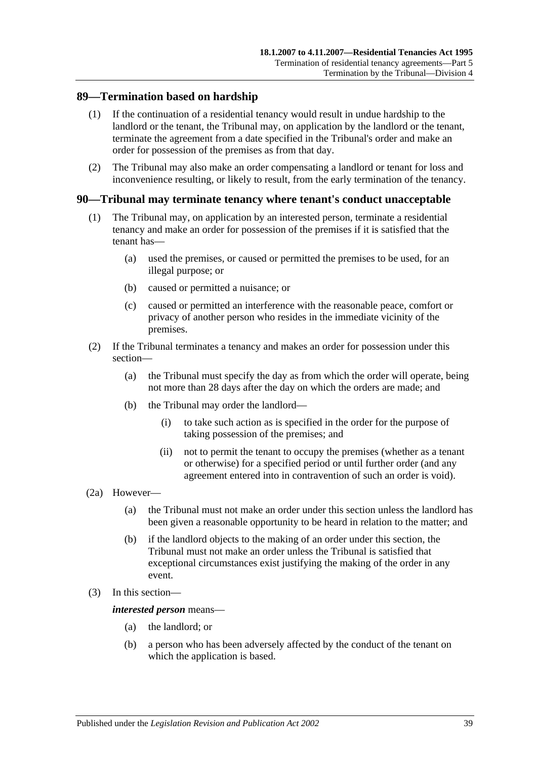### <span id="page-38-0"></span>**89—Termination based on hardship**

- (1) If the continuation of a residential tenancy would result in undue hardship to the landlord or the tenant, the Tribunal may, on application by the landlord or the tenant, terminate the agreement from a date specified in the Tribunal's order and make an order for possession of the premises as from that day.
- (2) The Tribunal may also make an order compensating a landlord or tenant for loss and inconvenience resulting, or likely to result, from the early termination of the tenancy.

### <span id="page-38-1"></span>**90—Tribunal may terminate tenancy where tenant's conduct unacceptable**

- (1) The Tribunal may, on application by an interested person, terminate a residential tenancy and make an order for possession of the premises if it is satisfied that the tenant has—
	- (a) used the premises, or caused or permitted the premises to be used, for an illegal purpose; or
	- (b) caused or permitted a nuisance; or
	- (c) caused or permitted an interference with the reasonable peace, comfort or privacy of another person who resides in the immediate vicinity of the premises.
- (2) If the Tribunal terminates a tenancy and makes an order for possession under this section—
	- (a) the Tribunal must specify the day as from which the order will operate, being not more than 28 days after the day on which the orders are made; and
	- (b) the Tribunal may order the landlord—
		- (i) to take such action as is specified in the order for the purpose of taking possession of the premises; and
		- (ii) not to permit the tenant to occupy the premises (whether as a tenant or otherwise) for a specified period or until further order (and any agreement entered into in contravention of such an order is void).
- (2a) However—
	- (a) the Tribunal must not make an order under this section unless the landlord has been given a reasonable opportunity to be heard in relation to the matter; and
	- (b) if the landlord objects to the making of an order under this section, the Tribunal must not make an order unless the Tribunal is satisfied that exceptional circumstances exist justifying the making of the order in any event.
- (3) In this section—

*interested person* means—

- (a) the landlord; or
- (b) a person who has been adversely affected by the conduct of the tenant on which the application is based.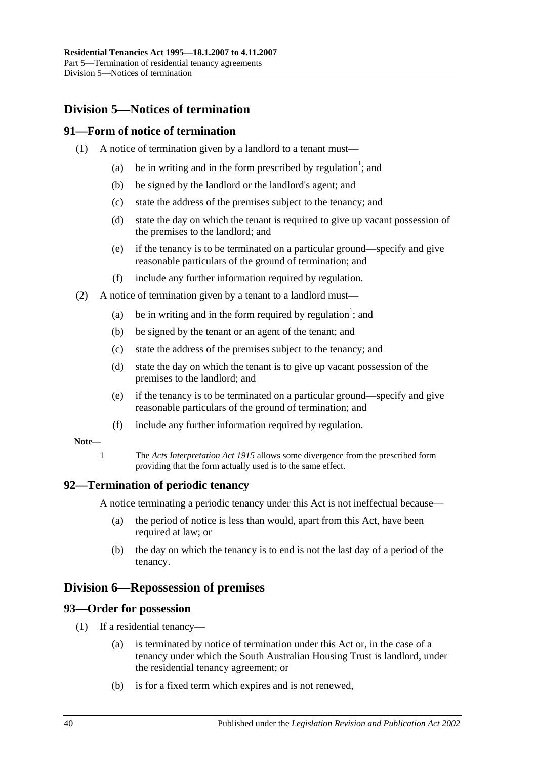## <span id="page-39-0"></span>**Division 5—Notices of termination**

### <span id="page-39-1"></span>**91—Form of notice of termination**

- (1) A notice of termination given by a landlord to a tenant must—
	- (a) be in writing and in the form prescribed by regulation<sup>1</sup>; and
	- (b) be signed by the landlord or the landlord's agent; and
	- (c) state the address of the premises subject to the tenancy; and
	- (d) state the day on which the tenant is required to give up vacant possession of the premises to the landlord; and
	- (e) if the tenancy is to be terminated on a particular ground—specify and give reasonable particulars of the ground of termination; and
	- (f) include any further information required by regulation.
- (2) A notice of termination given by a tenant to a landlord must—
	- (a) be in writing and in the form required by regulation<sup>1</sup>; and
	- (b) be signed by the tenant or an agent of the tenant; and
	- (c) state the address of the premises subject to the tenancy; and
	- (d) state the day on which the tenant is to give up vacant possession of the premises to the landlord; and
	- (e) if the tenancy is to be terminated on a particular ground—specify and give reasonable particulars of the ground of termination; and
	- (f) include any further information required by regulation.

#### **Note—**

1 The *[Acts Interpretation Act](http://www.legislation.sa.gov.au/index.aspx?action=legref&type=act&legtitle=Acts%20Interpretation%20Act%201915) 1915* allows some divergence from the prescribed form providing that the form actually used is to the same effect.

#### <span id="page-39-2"></span>**92—Termination of periodic tenancy**

A notice terminating a periodic tenancy under this Act is not ineffectual because—

- (a) the period of notice is less than would, apart from this Act, have been required at law; or
- (b) the day on which the tenancy is to end is not the last day of a period of the tenancy.

## <span id="page-39-3"></span>**Division 6—Repossession of premises**

#### <span id="page-39-4"></span>**93—Order for possession**

- (1) If a residential tenancy—
	- (a) is terminated by notice of termination under this Act or, in the case of a tenancy under which the South Australian Housing Trust is landlord, under the residential tenancy agreement; or
	- (b) is for a fixed term which expires and is not renewed,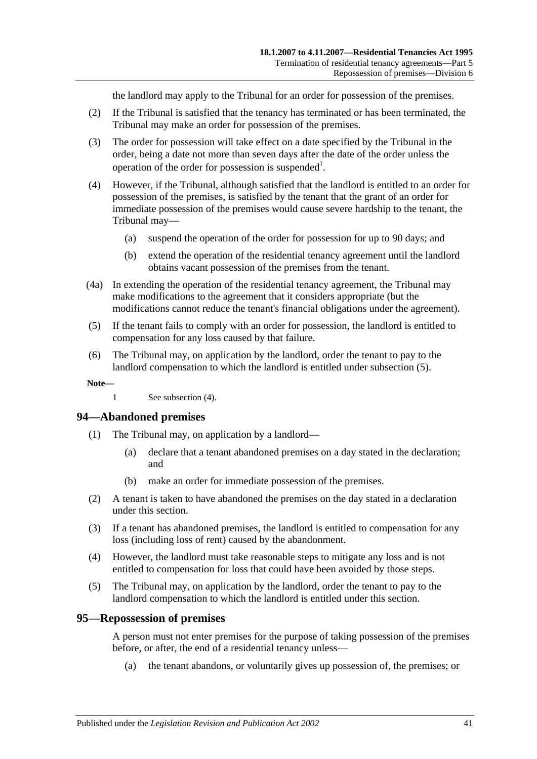the landlord may apply to the Tribunal for an order for possession of the premises.

- (2) If the Tribunal is satisfied that the tenancy has terminated or has been terminated, the Tribunal may make an order for possession of the premises.
- (3) The order for possession will take effect on a date specified by the Tribunal in the order, being a date not more than seven days after the date of the order unless the operation of the order for possession is suspended<sup>1</sup>.
- <span id="page-40-3"></span>(4) However, if the Tribunal, although satisfied that the landlord is entitled to an order for possession of the premises, is satisfied by the tenant that the grant of an order for immediate possession of the premises would cause severe hardship to the tenant, the Tribunal may—
	- (a) suspend the operation of the order for possession for up to 90 days; and
	- (b) extend the operation of the residential tenancy agreement until the landlord obtains vacant possession of the premises from the tenant.
- (4a) In extending the operation of the residential tenancy agreement, the Tribunal may make modifications to the agreement that it considers appropriate (but the modifications cannot reduce the tenant's financial obligations under the agreement).
- <span id="page-40-2"></span>(5) If the tenant fails to comply with an order for possession, the landlord is entitled to compensation for any loss caused by that failure.
- (6) The Tribunal may, on application by the landlord, order the tenant to pay to the landlord compensation to which the landlord is entitled under [subsection](#page-40-2) (5).

**Note—**

1 See [subsection](#page-40-3) (4).

#### <span id="page-40-0"></span>**94—Abandoned premises**

- (1) The Tribunal may, on application by a landlord—
	- (a) declare that a tenant abandoned premises on a day stated in the declaration; and
	- (b) make an order for immediate possession of the premises.
- (2) A tenant is taken to have abandoned the premises on the day stated in a declaration under this section.
- (3) If a tenant has abandoned premises, the landlord is entitled to compensation for any loss (including loss of rent) caused by the abandonment.
- (4) However, the landlord must take reasonable steps to mitigate any loss and is not entitled to compensation for loss that could have been avoided by those steps.
- (5) The Tribunal may, on application by the landlord, order the tenant to pay to the landlord compensation to which the landlord is entitled under this section.

#### <span id="page-40-1"></span>**95—Repossession of premises**

A person must not enter premises for the purpose of taking possession of the premises before, or after, the end of a residential tenancy unless—

(a) the tenant abandons, or voluntarily gives up possession of, the premises; or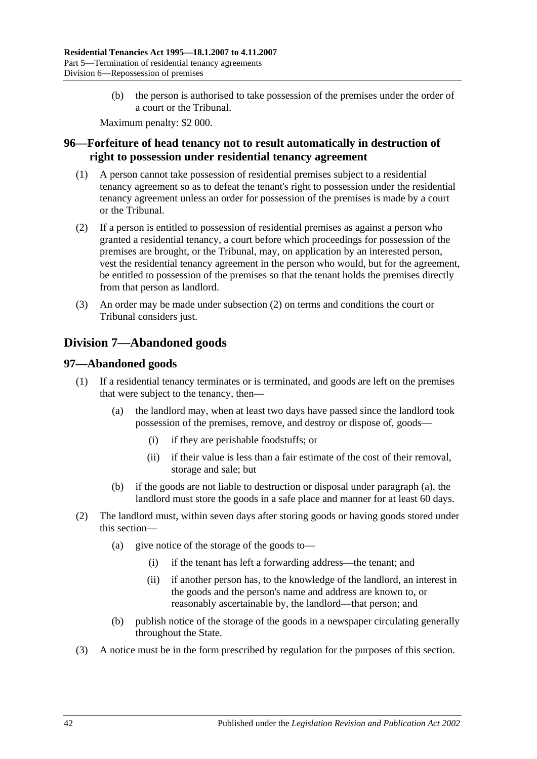(b) the person is authorised to take possession of the premises under the order of a court or the Tribunal.

Maximum penalty: \$2 000.

## <span id="page-41-0"></span>**96—Forfeiture of head tenancy not to result automatically in destruction of right to possession under residential tenancy agreement**

- (1) A person cannot take possession of residential premises subject to a residential tenancy agreement so as to defeat the tenant's right to possession under the residential tenancy agreement unless an order for possession of the premises is made by a court or the Tribunal.
- <span id="page-41-3"></span>(2) If a person is entitled to possession of residential premises as against a person who granted a residential tenancy, a court before which proceedings for possession of the premises are brought, or the Tribunal, may, on application by an interested person, vest the residential tenancy agreement in the person who would, but for the agreement, be entitled to possession of the premises so that the tenant holds the premises directly from that person as landlord.
- (3) An order may be made under [subsection](#page-41-3) (2) on terms and conditions the court or Tribunal considers just.

## <span id="page-41-1"></span>**Division 7—Abandoned goods**

## <span id="page-41-2"></span>**97—Abandoned goods**

- <span id="page-41-4"></span>(1) If a residential tenancy terminates or is terminated, and goods are left on the premises that were subject to the tenancy, then—
	- (a) the landlord may, when at least two days have passed since the landlord took possession of the premises, remove, and destroy or dispose of, goods—
		- (i) if they are perishable foodstuffs; or
		- (ii) if their value is less than a fair estimate of the cost of their removal, storage and sale; but
	- (b) if the goods are not liable to destruction or disposal under [paragraph](#page-41-4) (a), the landlord must store the goods in a safe place and manner for at least 60 days.
- (2) The landlord must, within seven days after storing goods or having goods stored under this section—
	- (a) give notice of the storage of the goods to—
		- (i) if the tenant has left a forwarding address—the tenant; and
		- (ii) if another person has, to the knowledge of the landlord, an interest in the goods and the person's name and address are known to, or reasonably ascertainable by, the landlord—that person; and
	- (b) publish notice of the storage of the goods in a newspaper circulating generally throughout the State.
- <span id="page-41-5"></span>(3) A notice must be in the form prescribed by regulation for the purposes of this section.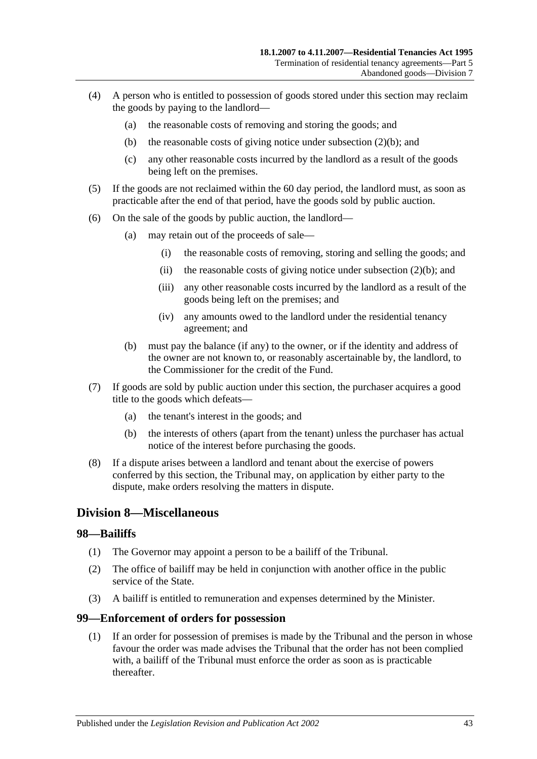- (4) A person who is entitled to possession of goods stored under this section may reclaim the goods by paying to the landlord—
	- (a) the reasonable costs of removing and storing the goods; and
	- (b) the reasonable costs of giving notice under [subsection](#page-41-5)  $(2)(b)$ ; and
	- (c) any other reasonable costs incurred by the landlord as a result of the goods being left on the premises.
- (5) If the goods are not reclaimed within the 60 day period, the landlord must, as soon as practicable after the end of that period, have the goods sold by public auction.
- (6) On the sale of the goods by public auction, the landlord—
	- (a) may retain out of the proceeds of sale—
		- (i) the reasonable costs of removing, storing and selling the goods; and
		- (ii) the reasonable costs of giving notice under [subsection](#page-41-5)  $(2)(b)$ ; and
		- (iii) any other reasonable costs incurred by the landlord as a result of the goods being left on the premises; and
		- (iv) any amounts owed to the landlord under the residential tenancy agreement; and
	- (b) must pay the balance (if any) to the owner, or if the identity and address of the owner are not known to, or reasonably ascertainable by, the landlord, to the Commissioner for the credit of the Fund.
- (7) If goods are sold by public auction under this section, the purchaser acquires a good title to the goods which defeats—
	- (a) the tenant's interest in the goods; and
	- (b) the interests of others (apart from the tenant) unless the purchaser has actual notice of the interest before purchasing the goods.
- (8) If a dispute arises between a landlord and tenant about the exercise of powers conferred by this section, the Tribunal may, on application by either party to the dispute, make orders resolving the matters in dispute.

## <span id="page-42-0"></span>**Division 8—Miscellaneous**

#### <span id="page-42-1"></span>**98—Bailiffs**

- (1) The Governor may appoint a person to be a bailiff of the Tribunal.
- (2) The office of bailiff may be held in conjunction with another office in the public service of the State.
- (3) A bailiff is entitled to remuneration and expenses determined by the Minister.

#### <span id="page-42-2"></span>**99—Enforcement of orders for possession**

(1) If an order for possession of premises is made by the Tribunal and the person in whose favour the order was made advises the Tribunal that the order has not been complied with, a bailiff of the Tribunal must enforce the order as soon as is practicable thereafter.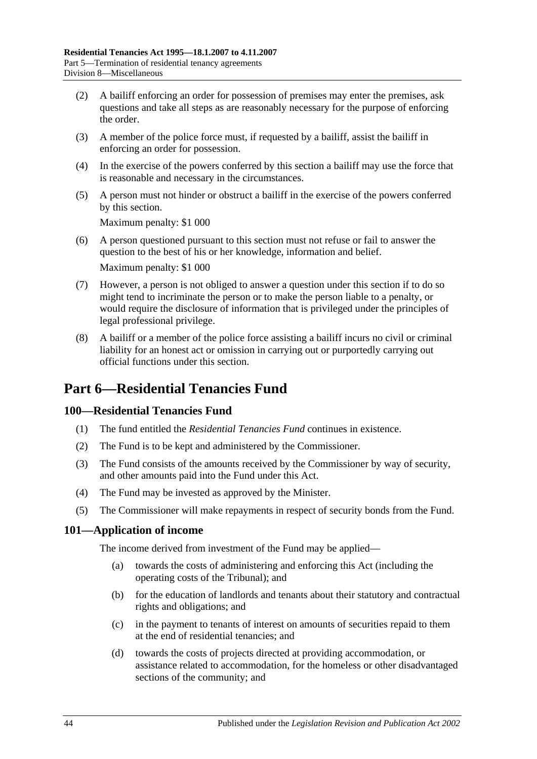- (2) A bailiff enforcing an order for possession of premises may enter the premises, ask questions and take all steps as are reasonably necessary for the purpose of enforcing the order.
- (3) A member of the police force must, if requested by a bailiff, assist the bailiff in enforcing an order for possession.
- (4) In the exercise of the powers conferred by this section a bailiff may use the force that is reasonable and necessary in the circumstances.
- (5) A person must not hinder or obstruct a bailiff in the exercise of the powers conferred by this section.

Maximum penalty: \$1 000

- (6) A person questioned pursuant to this section must not refuse or fail to answer the question to the best of his or her knowledge, information and belief. Maximum penalty: \$1 000
- (7) However, a person is not obliged to answer a question under this section if to do so might tend to incriminate the person or to make the person liable to a penalty, or would require the disclosure of information that is privileged under the principles of legal professional privilege.
- (8) A bailiff or a member of the police force assisting a bailiff incurs no civil or criminal liability for an honest act or omission in carrying out or purportedly carrying out official functions under this section.

# <span id="page-43-0"></span>**Part 6—Residential Tenancies Fund**

## <span id="page-43-1"></span>**100—Residential Tenancies Fund**

- (1) The fund entitled the *Residential Tenancies Fund* continues in existence.
- (2) The Fund is to be kept and administered by the Commissioner.
- (3) The Fund consists of the amounts received by the Commissioner by way of security, and other amounts paid into the Fund under this Act.
- (4) The Fund may be invested as approved by the Minister.
- (5) The Commissioner will make repayments in respect of security bonds from the Fund.

### <span id="page-43-2"></span>**101—Application of income**

The income derived from investment of the Fund may be applied—

- (a) towards the costs of administering and enforcing this Act (including the operating costs of the Tribunal); and
- (b) for the education of landlords and tenants about their statutory and contractual rights and obligations; and
- (c) in the payment to tenants of interest on amounts of securities repaid to them at the end of residential tenancies; and
- (d) towards the costs of projects directed at providing accommodation, or assistance related to accommodation, for the homeless or other disadvantaged sections of the community; and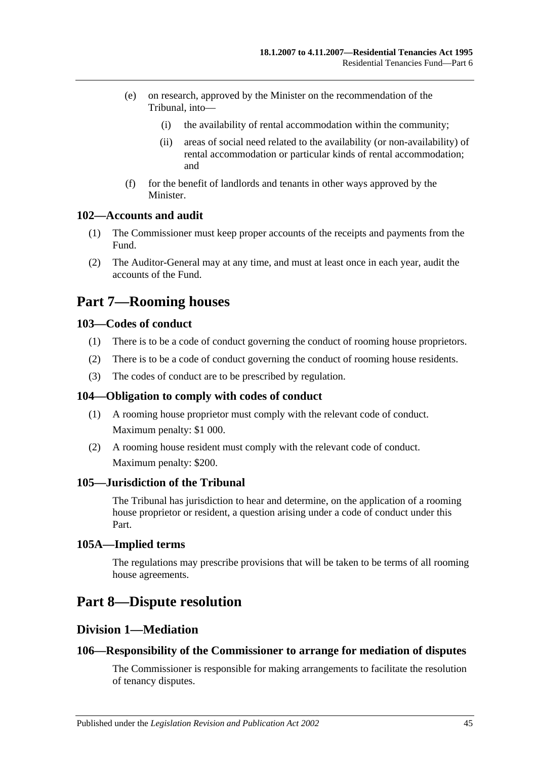- (e) on research, approved by the Minister on the recommendation of the Tribunal, into—
	- (i) the availability of rental accommodation within the community;
	- (ii) areas of social need related to the availability (or non-availability) of rental accommodation or particular kinds of rental accommodation; and
- (f) for the benefit of landlords and tenants in other ways approved by the **Minister**

### <span id="page-44-0"></span>**102—Accounts and audit**

- (1) The Commissioner must keep proper accounts of the receipts and payments from the Fund.
- (2) The Auditor-General may at any time, and must at least once in each year, audit the accounts of the Fund.

# <span id="page-44-1"></span>**Part 7—Rooming houses**

### <span id="page-44-2"></span>**103—Codes of conduct**

- (1) There is to be a code of conduct governing the conduct of rooming house proprietors.
- (2) There is to be a code of conduct governing the conduct of rooming house residents.
- (3) The codes of conduct are to be prescribed by regulation.

#### <span id="page-44-3"></span>**104—Obligation to comply with codes of conduct**

- (1) A rooming house proprietor must comply with the relevant code of conduct. Maximum penalty: \$1 000.
- (2) A rooming house resident must comply with the relevant code of conduct. Maximum penalty: \$200.

#### <span id="page-44-4"></span>**105—Jurisdiction of the Tribunal**

The Tribunal has jurisdiction to hear and determine, on the application of a rooming house proprietor or resident, a question arising under a code of conduct under this Part.

#### <span id="page-44-5"></span>**105A—Implied terms**

The regulations may prescribe provisions that will be taken to be terms of all rooming house agreements.

# <span id="page-44-7"></span><span id="page-44-6"></span>**Part 8—Dispute resolution**

### **Division 1—Mediation**

#### <span id="page-44-8"></span>**106—Responsibility of the Commissioner to arrange for mediation of disputes**

The Commissioner is responsible for making arrangements to facilitate the resolution of tenancy disputes.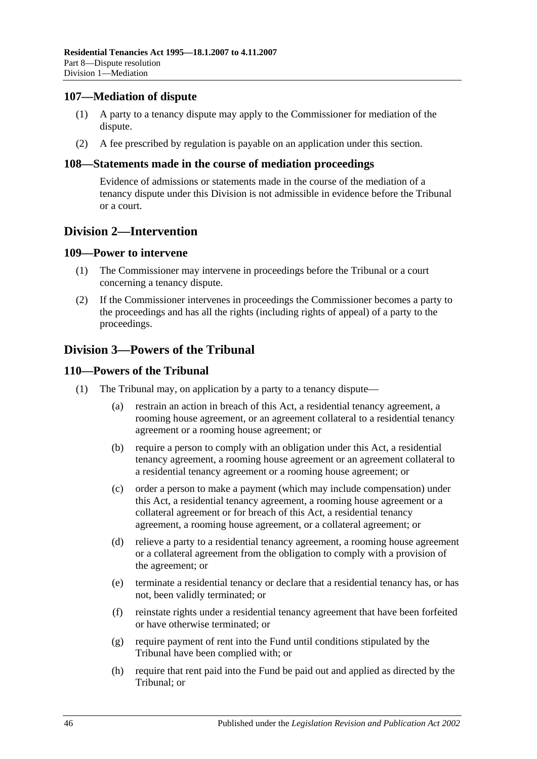### <span id="page-45-0"></span>**107—Mediation of dispute**

- (1) A party to a tenancy dispute may apply to the Commissioner for mediation of the dispute.
- (2) A fee prescribed by regulation is payable on an application under this section.

#### <span id="page-45-1"></span>**108—Statements made in the course of mediation proceedings**

Evidence of admissions or statements made in the course of the mediation of a tenancy dispute under this Division is not admissible in evidence before the Tribunal or a court.

## <span id="page-45-2"></span>**Division 2—Intervention**

#### <span id="page-45-3"></span>**109—Power to intervene**

- (1) The Commissioner may intervene in proceedings before the Tribunal or a court concerning a tenancy dispute.
- (2) If the Commissioner intervenes in proceedings the Commissioner becomes a party to the proceedings and has all the rights (including rights of appeal) of a party to the proceedings.

## <span id="page-45-4"></span>**Division 3—Powers of the Tribunal**

### <span id="page-45-5"></span>**110—Powers of the Tribunal**

- (1) The Tribunal may, on application by a party to a tenancy dispute—
	- (a) restrain an action in breach of this Act, a residential tenancy agreement, a rooming house agreement, or an agreement collateral to a residential tenancy agreement or a rooming house agreement; or
	- (b) require a person to comply with an obligation under this Act, a residential tenancy agreement, a rooming house agreement or an agreement collateral to a residential tenancy agreement or a rooming house agreement; or
	- (c) order a person to make a payment (which may include compensation) under this Act, a residential tenancy agreement, a rooming house agreement or a collateral agreement or for breach of this Act, a residential tenancy agreement, a rooming house agreement, or a collateral agreement; or
	- (d) relieve a party to a residential tenancy agreement, a rooming house agreement or a collateral agreement from the obligation to comply with a provision of the agreement; or
	- (e) terminate a residential tenancy or declare that a residential tenancy has, or has not, been validly terminated; or
	- (f) reinstate rights under a residential tenancy agreement that have been forfeited or have otherwise terminated; or
	- (g) require payment of rent into the Fund until conditions stipulated by the Tribunal have been complied with; or
	- (h) require that rent paid into the Fund be paid out and applied as directed by the Tribunal; or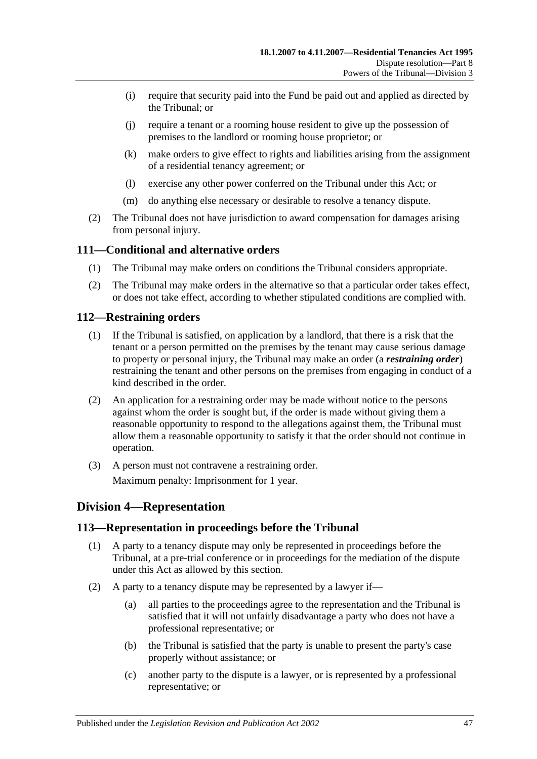- (i) require that security paid into the Fund be paid out and applied as directed by the Tribunal; or
- (j) require a tenant or a rooming house resident to give up the possession of premises to the landlord or rooming house proprietor; or
- (k) make orders to give effect to rights and liabilities arising from the assignment of a residential tenancy agreement; or
- (l) exercise any other power conferred on the Tribunal under this Act; or
- (m) do anything else necessary or desirable to resolve a tenancy dispute.
- (2) The Tribunal does not have jurisdiction to award compensation for damages arising from personal injury.

### <span id="page-46-0"></span>**111—Conditional and alternative orders**

- (1) The Tribunal may make orders on conditions the Tribunal considers appropriate.
- (2) The Tribunal may make orders in the alternative so that a particular order takes effect, or does not take effect, according to whether stipulated conditions are complied with.

#### <span id="page-46-1"></span>**112—Restraining orders**

- (1) If the Tribunal is satisfied, on application by a landlord, that there is a risk that the tenant or a person permitted on the premises by the tenant may cause serious damage to property or personal injury, the Tribunal may make an order (a *restraining order*) restraining the tenant and other persons on the premises from engaging in conduct of a kind described in the order.
- (2) An application for a restraining order may be made without notice to the persons against whom the order is sought but, if the order is made without giving them a reasonable opportunity to respond to the allegations against them, the Tribunal must allow them a reasonable opportunity to satisfy it that the order should not continue in operation.
- (3) A person must not contravene a restraining order. Maximum penalty: Imprisonment for 1 year.

## <span id="page-46-2"></span>**Division 4—Representation**

#### <span id="page-46-3"></span>**113—Representation in proceedings before the Tribunal**

- (1) A party to a tenancy dispute may only be represented in proceedings before the Tribunal, at a pre-trial conference or in proceedings for the mediation of the dispute under this Act as allowed by this section.
- (2) A party to a tenancy dispute may be represented by a lawyer if—
	- (a) all parties to the proceedings agree to the representation and the Tribunal is satisfied that it will not unfairly disadvantage a party who does not have a professional representative; or
	- (b) the Tribunal is satisfied that the party is unable to present the party's case properly without assistance; or
	- (c) another party to the dispute is a lawyer, or is represented by a professional representative; or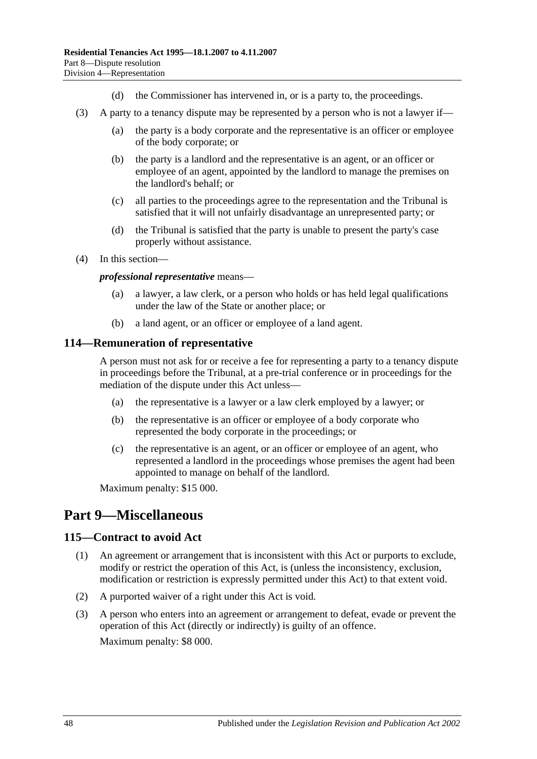- (d) the Commissioner has intervened in, or is a party to, the proceedings.
- (3) A party to a tenancy dispute may be represented by a person who is not a lawyer if—
	- (a) the party is a body corporate and the representative is an officer or employee of the body corporate; or
	- (b) the party is a landlord and the representative is an agent, or an officer or employee of an agent, appointed by the landlord to manage the premises on the landlord's behalf; or
	- (c) all parties to the proceedings agree to the representation and the Tribunal is satisfied that it will not unfairly disadvantage an unrepresented party; or
	- (d) the Tribunal is satisfied that the party is unable to present the party's case properly without assistance.
- (4) In this section—

*professional representative* means—

- (a) a lawyer, a law clerk, or a person who holds or has held legal qualifications under the law of the State or another place; or
- (b) a land agent, or an officer or employee of a land agent.

#### <span id="page-47-0"></span>**114—Remuneration of representative**

A person must not ask for or receive a fee for representing a party to a tenancy dispute in proceedings before the Tribunal, at a pre-trial conference or in proceedings for the mediation of the dispute under this Act unless—

- (a) the representative is a lawyer or a law clerk employed by a lawyer; or
- (b) the representative is an officer or employee of a body corporate who represented the body corporate in the proceedings; or
- (c) the representative is an agent, or an officer or employee of an agent, who represented a landlord in the proceedings whose premises the agent had been appointed to manage on behalf of the landlord.

Maximum penalty: \$15 000.

# <span id="page-47-1"></span>**Part 9—Miscellaneous**

#### <span id="page-47-2"></span>**115—Contract to avoid Act**

- (1) An agreement or arrangement that is inconsistent with this Act or purports to exclude, modify or restrict the operation of this Act, is (unless the inconsistency, exclusion, modification or restriction is expressly permitted under this Act) to that extent void.
- (2) A purported waiver of a right under this Act is void.
- (3) A person who enters into an agreement or arrangement to defeat, evade or prevent the operation of this Act (directly or indirectly) is guilty of an offence. Maximum penalty: \$8 000.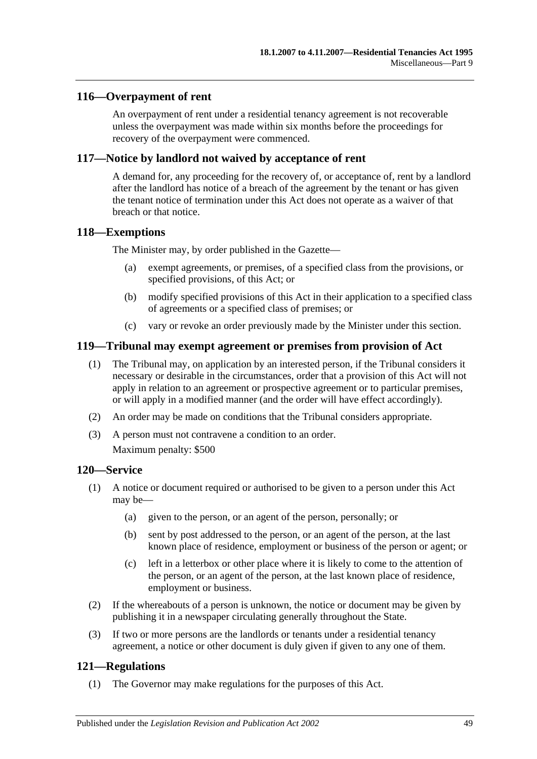### <span id="page-48-0"></span>**116—Overpayment of rent**

An overpayment of rent under a residential tenancy agreement is not recoverable unless the overpayment was made within six months before the proceedings for recovery of the overpayment were commenced.

#### <span id="page-48-1"></span>**117—Notice by landlord not waived by acceptance of rent**

A demand for, any proceeding for the recovery of, or acceptance of, rent by a landlord after the landlord has notice of a breach of the agreement by the tenant or has given the tenant notice of termination under this Act does not operate as a waiver of that breach or that notice.

#### <span id="page-48-2"></span>**118—Exemptions**

The Minister may, by order published in the Gazette—

- (a) exempt agreements, or premises, of a specified class from the provisions, or specified provisions, of this Act; or
- (b) modify specified provisions of this Act in their application to a specified class of agreements or a specified class of premises; or
- (c) vary or revoke an order previously made by the Minister under this section.

### <span id="page-48-3"></span>**119—Tribunal may exempt agreement or premises from provision of Act**

- (1) The Tribunal may, on application by an interested person, if the Tribunal considers it necessary or desirable in the circumstances, order that a provision of this Act will not apply in relation to an agreement or prospective agreement or to particular premises, or will apply in a modified manner (and the order will have effect accordingly).
- (2) An order may be made on conditions that the Tribunal considers appropriate.
- (3) A person must not contravene a condition to an order.

Maximum penalty: \$500

### <span id="page-48-4"></span>**120—Service**

- (1) A notice or document required or authorised to be given to a person under this Act may be—
	- (a) given to the person, or an agent of the person, personally; or
	- (b) sent by post addressed to the person, or an agent of the person, at the last known place of residence, employment or business of the person or agent; or
	- (c) left in a letterbox or other place where it is likely to come to the attention of the person, or an agent of the person, at the last known place of residence, employment or business.
- (2) If the whereabouts of a person is unknown, the notice or document may be given by publishing it in a newspaper circulating generally throughout the State.
- (3) If two or more persons are the landlords or tenants under a residential tenancy agreement, a notice or other document is duly given if given to any one of them.

### <span id="page-48-5"></span>**121—Regulations**

(1) The Governor may make regulations for the purposes of this Act.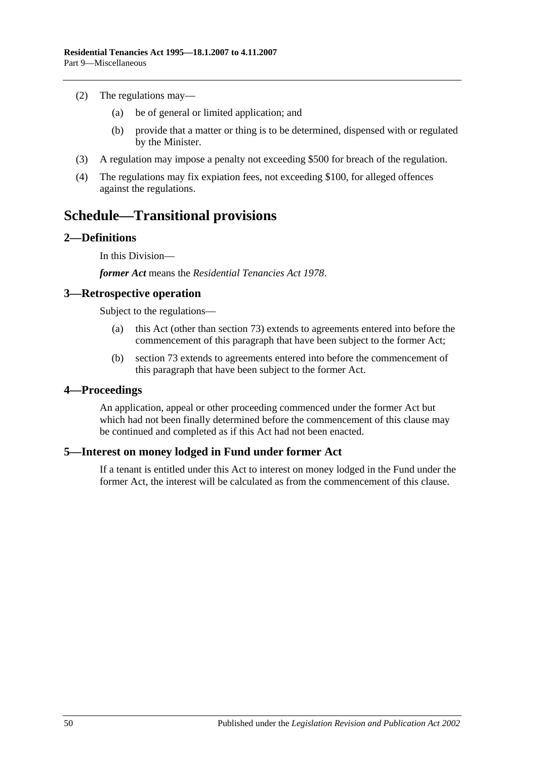- (2) The regulations may—
	- (a) be of general or limited application; and
	- (b) provide that a matter or thing is to be determined, dispensed with or regulated by the Minister.
- (3) A regulation may impose a penalty not exceeding \$500 for breach of the regulation.
- (4) The regulations may fix expiation fees, not exceeding \$100, for alleged offences against the regulations.

# <span id="page-49-0"></span>**Schedule—Transitional provisions**

### <span id="page-49-1"></span>**2—Definitions**

In this Division—

*former Act* means the *[Residential Tenancies Act](http://www.legislation.sa.gov.au/index.aspx?action=legref&type=act&legtitle=Residential%20Tenancies%20Act%201978) 1978*.

#### <span id="page-49-2"></span>**3—Retrospective operation**

Subject to the regulations—

- (a) this Act (other than [section](#page-31-1) 73) extends to agreements entered into before the commencement of this paragraph that have been subject to the former Act;
- (b) [section](#page-31-1) 73 extends to agreements entered into before the commencement of this paragraph that have been subject to the former Act.

#### <span id="page-49-3"></span>**4—Proceedings**

An application, appeal or other proceeding commenced under the former Act but which had not been finally determined before the commencement of this clause may be continued and completed as if this Act had not been enacted.

### <span id="page-49-4"></span>**5—Interest on money lodged in Fund under former Act**

If a tenant is entitled under this Act to interest on money lodged in the Fund under the former Act, the interest will be calculated as from the commencement of this clause.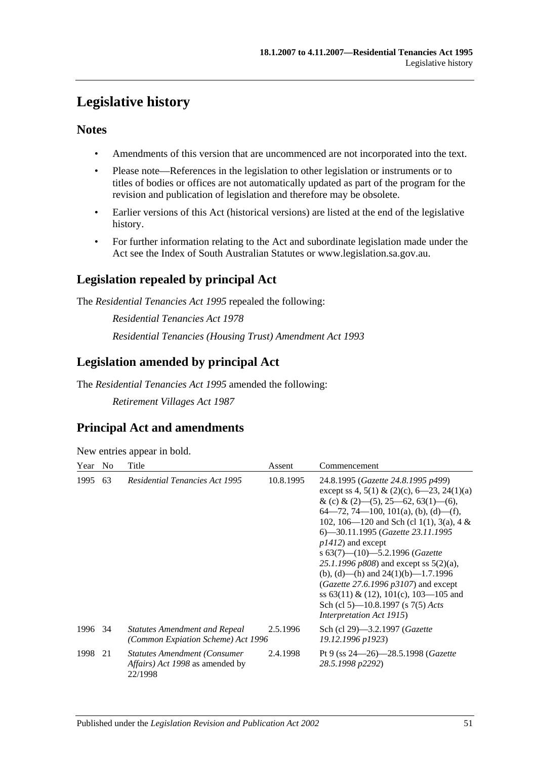# <span id="page-50-0"></span>**Legislative history**

## **Notes**

- Amendments of this version that are uncommenced are not incorporated into the text.
- Please note—References in the legislation to other legislation or instruments or to titles of bodies or offices are not automatically updated as part of the program for the revision and publication of legislation and therefore may be obsolete.
- Earlier versions of this Act (historical versions) are listed at the end of the legislative history.
- For further information relating to the Act and subordinate legislation made under the Act see the Index of South Australian Statutes or www.legislation.sa.gov.au.

## **Legislation repealed by principal Act**

The *Residential Tenancies Act 1995* repealed the following:

*Residential Tenancies Act 1978 Residential Tenancies (Housing Trust) Amendment Act 1993*

## **Legislation amended by principal Act**

The *Residential Tenancies Act 1995* amended the following:

*Retirement Villages Act 1987*

# **Principal Act and amendments**

New entries appear in bold.

| Year    | N <sub>0</sub> | Title                                                                              | Assent    | Commencement                                                                                                                                                                                                                                                                                                                                                                                                                                                                                                                                                                     |
|---------|----------------|------------------------------------------------------------------------------------|-----------|----------------------------------------------------------------------------------------------------------------------------------------------------------------------------------------------------------------------------------------------------------------------------------------------------------------------------------------------------------------------------------------------------------------------------------------------------------------------------------------------------------------------------------------------------------------------------------|
| 1995    | 63             | <b>Residential Tenancies Act 1995</b>                                              | 10.8.1995 | 24.8.1995 (Gazette 24.8.1995 p499)<br>except ss 4, 5(1) & (2)(c), 6–23, 24(1)(a)<br>& (c) & (2)–(5), 25–62, 63(1)–(6),<br>$64-72, 74-100, 101(a), (b), (d)-(f),$<br>102, 106—120 and Sch (cl 1(1), 3(a), 4 &<br>6—30.11.1995 (Gazette 23.11.1995<br>$p1412$ ) and except<br>s $63(7)$ — $(10)$ —5.2.1996 (Gazette<br>25.1.1996 $p808$ ) and except ss $5(2)(a)$ ,<br>(b), (d)—(h) and $24(1)(b)$ —1.7.1996<br>( <i>Gazette</i> 27.6.1996 $p3107$ ) and except<br>ss $63(11) \& (12)$ , $101(c)$ , $103-105$ and<br>Sch (cl 5)—10.8.1997 (s 7(5) Acts<br>Interpretation Act 1915) |
| 1996 34 |                | <b>Statutes Amendment and Repeal</b><br>(Common Expiation Scheme) Act 1996         | 2.5.1996  | Sch (cl 29)—3.2.1997 ( <i>Gazette</i><br>19.12.1996 p1923)                                                                                                                                                                                                                                                                                                                                                                                                                                                                                                                       |
| 1998    | 21             | <b>Statutes Amendment (Consumer)</b><br>Affairs) Act 1998 as amended by<br>22/1998 | 2.4.1998  | Pt 9 (ss $24 - 26$ ) $-28.5.1998$ (Gazette<br>28.5.1998 p2292)                                                                                                                                                                                                                                                                                                                                                                                                                                                                                                                   |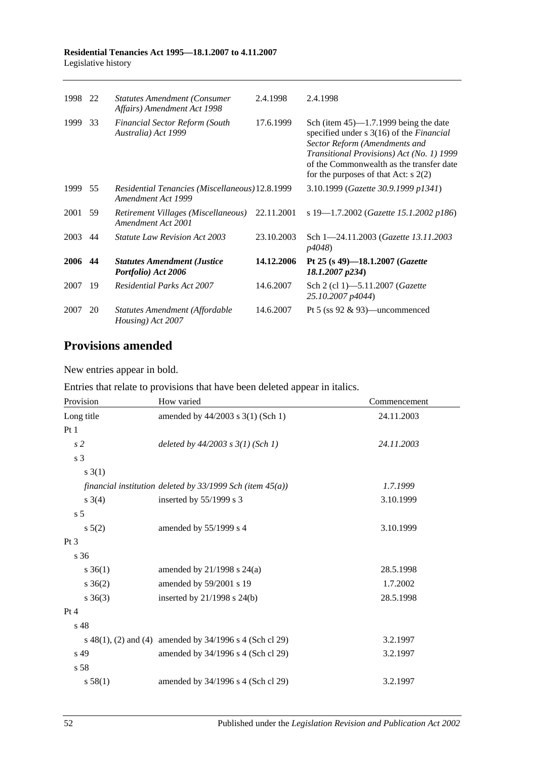| 1998 | 22 | <b>Statutes Amendment (Consumer</b><br>Affairs) Amendment Act 1998    | 2.4.1998   | 2.4.1998                                                                                                                                                                                                                                                        |
|------|----|-----------------------------------------------------------------------|------------|-----------------------------------------------------------------------------------------------------------------------------------------------------------------------------------------------------------------------------------------------------------------|
| 1999 | 33 | <b>Financial Sector Reform (South</b><br>Australia) Act 1999          | 17.6.1999  | Sch (item $45$ )—1.7.1999 being the date<br>specified under s 3(16) of the <i>Financial</i><br>Sector Reform (Amendments and<br>Transitional Provisions) Act (No. 1) 1999<br>of the Commonwealth as the transfer date<br>for the purposes of that Act: $s$ 2(2) |
| 1999 | 55 | Residential Tenancies (Miscellaneous) 12.8.1999<br>Amendment Act 1999 |            | 3.10.1999 (Gazette 30.9.1999 p1341)                                                                                                                                                                                                                             |
| 2001 | 59 | Retirement Villages (Miscellaneous)<br>Amendment Act 2001             | 22.11.2001 | s 19-1.7.2002 (Gazette 15.1.2002 p186)                                                                                                                                                                                                                          |
| 2003 | 44 | <b>Statute Law Revision Act 2003</b>                                  | 23.10.2003 | Sch 1-24.11.2003 (Gazette 13.11.2003)<br>p4048)                                                                                                                                                                                                                 |
| 2006 | 44 | <b>Statutes Amendment (Justice</b><br>Portfolio) Act 2006             | 14.12.2006 | Pt 25 (s 49)-18.1.2007 ( <i>Gazette</i><br>18.1.2007 p234)                                                                                                                                                                                                      |
| 2007 | 19 | Residential Parks Act 2007                                            | 14.6.2007  | Sch 2 (cl 1)–5.11.2007 ( <i>Gazette</i><br>25.10.2007 p4044)                                                                                                                                                                                                    |
| 2007 | 20 | Statutes Amendment (Affordable<br>Housing) Act 2007                   | 14.6.2007  | Pt 5 (ss $92 \& 93$ )—uncommenced                                                                                                                                                                                                                               |

## **Provisions amended**

New entries appear in bold.

Entries that relate to provisions that have been deleted appear in italics.

| Provision      | How varied                                                     | Commencement |
|----------------|----------------------------------------------------------------|--------------|
| Long title     | amended by 44/2003 s 3(1) (Sch 1)                              | 24.11.2003   |
| Pt1            |                                                                |              |
| $\sqrt{s}$ 2   | deleted by $44/2003$ s $3(1)$ (Sch 1)                          | 24.11.2003   |
| s 3            |                                                                |              |
| s(3(1))        |                                                                |              |
|                | financial institution deleted by $33/1999$ Sch (item $45(a)$ ) | 1.7.1999     |
| $s \; 3(4)$    | inserted by $55/1999$ s 3                                      | 3.10.1999    |
| s <sub>5</sub> |                                                                |              |
| $s\ 5(2)$      | amended by 55/1999 s 4                                         | 3.10.1999    |
| $Pt\,3$        |                                                                |              |
| s 36           |                                                                |              |
| $s \; 36(1)$   | amended by $21/1998$ s $24(a)$                                 | 28.5.1998    |
| $s \; 36(2)$   | amended by 59/2001 s 19                                        | 1.7.2002     |
| $s \; 36(3)$   | inserted by $21/1998$ s $24(b)$                                | 28.5.1998    |
| Pt 4           |                                                                |              |
| s 48           |                                                                |              |
|                | s 48(1), (2) and (4) amended by 34/1996 s 4 (Sch cl 29)        | 3.2.1997     |
| s 49           | amended by 34/1996 s 4 (Sch cl 29)                             | 3.2.1997     |
| s 58           |                                                                |              |
| s 58(1)        | amended by 34/1996 s 4 (Sch cl 29)                             | 3.2.1997     |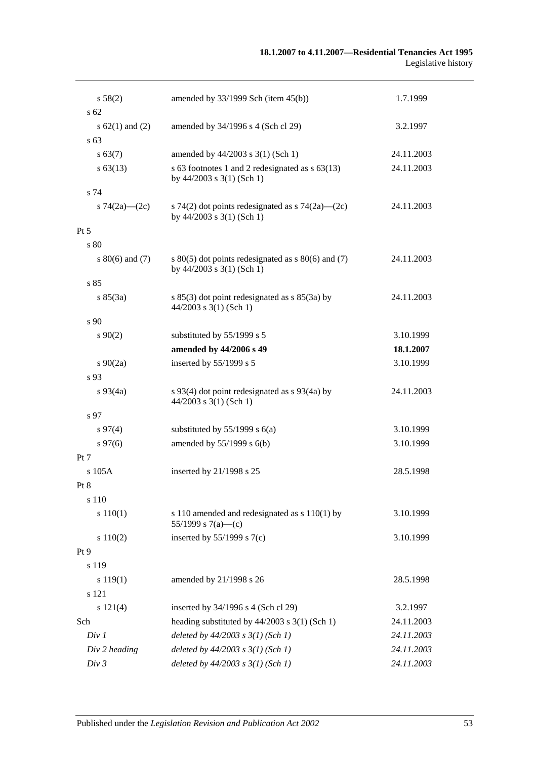| s 58(2)             | amended by $33/1999$ Sch (item $45(b)$ )                                              | 1.7.1999   |
|---------------------|---------------------------------------------------------------------------------------|------------|
| $s\,62$             |                                                                                       |            |
| s $62(1)$ and $(2)$ | amended by 34/1996 s 4 (Sch cl 29)                                                    | 3.2.1997   |
| s <sub>63</sub>     |                                                                                       |            |
| s 63(7)             | amended by 44/2003 s 3(1) (Sch 1)                                                     | 24.11.2003 |
| $s\,63(13)$         | s 63 footnotes 1 and 2 redesignated as $s$ 63(13)<br>by $44/2003$ s $3(1)$ (Sch 1)    | 24.11.2003 |
| s 74                |                                                                                       |            |
| s $74(2a)$ (2c)     | s 74(2) dot points redesignated as s 74(2a)—(2c)<br>by $44/2003$ s $3(1)$ (Sch 1)     | 24.11.2003 |
| $Pt\,5$             |                                                                                       |            |
| s 80                |                                                                                       |            |
| $s\ 80(6)$ and (7)  | s $80(5)$ dot points redesignated as s $80(6)$ and (7)<br>by $44/2003$ s 3(1) (Sch 1) | 24.11.2003 |
| s85                 |                                                                                       |            |
| s 85(3a)            | s $85(3)$ dot point redesignated as s $85(3a)$ by<br>$44/2003$ s 3(1) (Sch 1)         | 24.11.2003 |
| s 90                |                                                                                       |            |
| $s \ 90(2)$         | substituted by 55/1999 s 5                                                            | 3.10.1999  |
|                     | amended by 44/2006 s 49                                                               | 18.1.2007  |
| $s\ 90(2a)$         | inserted by 55/1999 s 5                                                               | 3.10.1999  |
| s 93                |                                                                                       |            |
| $s\,93(4a)$         | s 93(4) dot point redesignated as $s$ 93(4a) by<br>$44/2003$ s 3(1) (Sch 1)           | 24.11.2003 |
| s 97                |                                                                                       |            |
| $s\,97(4)$          | substituted by $55/1999$ s $6(a)$                                                     | 3.10.1999  |
| $s\,97(6)$          | amended by $55/1999$ s $6(b)$                                                         | 3.10.1999  |
| Pt 7                |                                                                                       |            |
| s 105A              | inserted by 21/1998 s 25                                                              | 28.5.1998  |
| Pt 8                |                                                                                       |            |
| s 110               |                                                                                       |            |
| s 110(1)            | s 110 amended and redesignated as $s$ 110(1) by<br>55/1999 s $7(a)$ —(c)              | 3.10.1999  |
| s 110(2)            | inserted by $55/1999$ s $7(c)$                                                        | 3.10.1999  |
| Pt 9                |                                                                                       |            |
| s 119               |                                                                                       |            |
| s 119(1)            | amended by 21/1998 s 26                                                               | 28.5.1998  |
| s 121               |                                                                                       |            |
| s 121(4)            | inserted by 34/1996 s 4 (Sch cl 29)                                                   | 3.2.1997   |
| Sch                 | heading substituted by $44/2003$ s 3(1) (Sch 1)                                       | 24.11.2003 |
| Div 1               | deleted by $44/2003$ s $3(1)$ (Sch 1)                                                 | 24.11.2003 |
| Div 2 heading       | deleted by $44/2003$ s $3(1)$ (Sch 1)                                                 | 24.11.2003 |
| Div 3               | deleted by $44/2003$ s $3(1)$ (Sch 1)                                                 | 24.11.2003 |